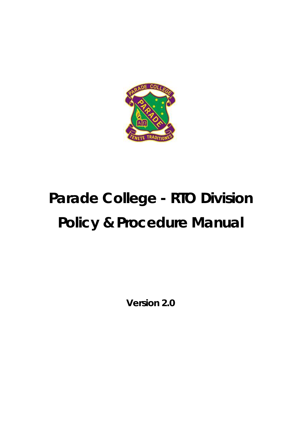

# **Parade College - RTO Division Policy & Procedure Manual**

**Version 2.0**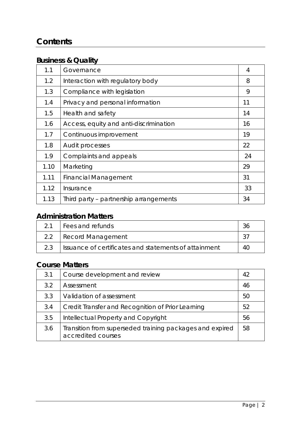# **Contents**

# **Business & Quality**

| 1.1  | Governance                             | 4  |
|------|----------------------------------------|----|
| 1.2  | Interaction with regulatory body       | 8  |
| 1.3  | Compliance with legislation            | 9  |
| 1.4  | Privacy and personal information       | 11 |
| 1.5  | Health and safety                      | 14 |
| 1.6  | Access, equity and anti-discrimination | 16 |
| 1.7  | Continuous improvement                 | 19 |
| 1.8  | Audit processes                        | 22 |
| 1.9  | Complaints and appeals                 | 24 |
| 1.10 | Marketing                              | 29 |
| 1.11 | <b>Financial Management</b>            | 31 |
| 1.12 | Insurance                              | 33 |
| 1.13 | Third party - partnership arrangements | 34 |

# **Administration Matters**

|               | Fees and refunds                                      |    |
|---------------|-------------------------------------------------------|----|
| $2.2^{\circ}$ | Record Management                                     |    |
| 23            | Issuance of certificates and statements of attainment | 40 |

# **Course Matters**

| 3.1 | Course development and review                                                  | 42 |
|-----|--------------------------------------------------------------------------------|----|
| 3.2 | Assessment                                                                     | 46 |
| 3.3 | Validation of assessment                                                       | 50 |
| 3.4 | Credit Transfer and Recognition of Prior Learning                              | 52 |
| 3.5 | Intellectual Property and Copyright                                            | 56 |
| 3.6 | Transition from superseded training packages and expired<br>accredited courses | 58 |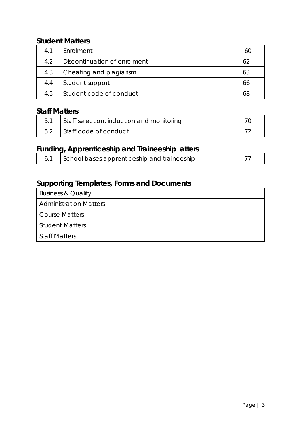# **Student Matters**

| 4.1 | Enrolment                    |    |
|-----|------------------------------|----|
| 4.2 | Discontinuation of enrolment | 62 |
| 4.3 | Cheating and plagiarism      | 63 |
| 4.4 | Student support              | 66 |
| 4.5 | Student code of conduct      | 68 |

# **Staff Matters**

| Staff selection, induction and monitoring |  |
|-------------------------------------------|--|
| Staff code of conduct                     |  |

# **Funding, Apprenticeship and Traineeship atters**

| School bases apprenticeship and traineeship |  |
|---------------------------------------------|--|
|---------------------------------------------|--|

# **Supporting Templates, Forms and Documents**

| <b>Business &amp; Quality</b> |
|-------------------------------|
| <b>Administration Matters</b> |
| Course Matters                |
| <b>Student Matters</b>        |
| <b>Staff Matters</b>          |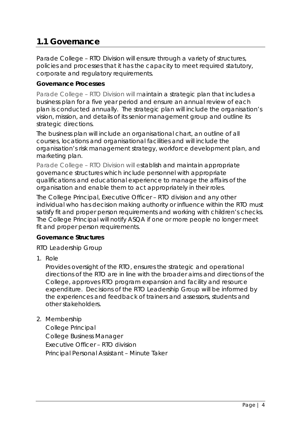# **1.1 Governance**

Parade College – RTO Division will ensure through a variety of structures, policies and processes that it has the capacity to meet required statutory, corporate and regulatory requirements.

#### **Governance Processes**

Parade College – RTO Division will maintain a strategic plan that includes a business plan for a five year period and ensure an annual review of each plan is conducted annually. The strategic plan will include the organisation's vision, mission, and details of its senior management group and outline its strategic directions.

The business plan will include an organisational chart, an outline of all courses, locations and organisational facilities and will include the organisation's risk management strategy, workforce development plan, and marketing plan.

Parade College – RTO Division will establish and maintain appropriate governance structures which include personnel with appropriate qualifications and educational experience to manage the affairs of the organisation and enable them to act appropriately in their roles.

The College Principal, Executive Officer – RTO division and any other individual who has decision making authority or influence within the RTO must satisfy fit and proper person requirements and working with children's checks. The College Principal will notify ASQA if one or more people no longer meet fit and proper person requirements.

#### **Governance Structures**

#### *RTO Leadership Group*

1. Role

Provides oversight of the RTO, ensures the strategic and operational directions of the RTO are in line with the broader aims and directions of the College, approves RTO program expansion and facility and resource expenditure. Decisions of the RTO Leadership Group will be informed by the experiences and feedback of trainers and assessors, students and other stakeholders.

2. Membership

College Principal College Business Manager Executive Officer – RTO division Principal Personal Assistant – Minute Taker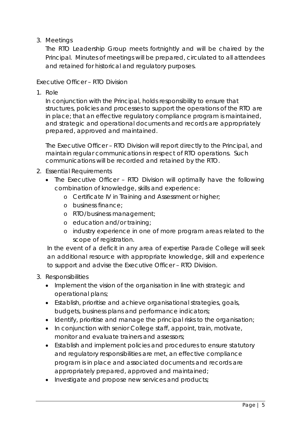3. Meetings

The RTO Leadership Group meets fortnightly and will be chaired by the Principal. Minutes of meetings will be prepared, circulated to all attendees and retained for historical and regulatory purposes.

## *Executive Officer – RTO Division*

1. Role

In conjunction with the Principal, holds responsibility to ensure that structures, policies and processes to support the operations of the RTO are in place; that an effective regulatory compliance program is maintained, and strategic and operational documents and records are appropriately prepared, approved and maintained.

The Executive Officer – RTO Division will report directly to the Principal, and maintain regular communications in respect of RTO operations. Such communications will be recorded and retained by the RTO.

- 2. Essential Requirements
	- The Executive Officer RTO Division will optimally have the following combination of knowledge, skills and experience:
		- o Certificate IV in Training and Assessment or higher;
		- o business finance;
		- o RTO/business management;
		- o education and/or training;
		- o industry experience in one of more program areas related to the scope of registration.

In the event of a deficit in any area of expertise Parade College will seek an additional resource with appropriate knowledge, skill and experience to support and advise the Executive Officer – RTO Division.

- 3. Responsibilities
	- Implement the vision of the organisation in line with strategic and operational plans;
	- Establish, prioritise and achieve organisational strategies, goals, budgets, business plans and performance indicators;
	- Identify, prioritise and manage the principal risks to the organisation;
	- In conjunction with senior College staff, appoint, train, motivate, monitor and evaluate trainers and assessors;
	- Establish and implement policies and procedures to ensure statutory and regulatory responsibilities are met, an effective compliance program is in place and associated documents and records are appropriately prepared, approved and maintained;
	- Investigate and propose new services and products;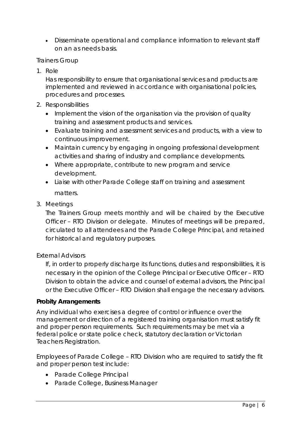• Disseminate operational and compliance information to relevant staff on an as needs basis.

#### *Trainers Group*

1. Role

Has responsibility to ensure that organisational services and products are implemented and reviewed in accordance with organisational policies, procedures and processes.

- 2. Responsibilities
	- Implement the vision of the organisation via the provision of quality training and assessment products and services.
	- Evaluate training and assessment services and products, with a view to continuous improvement.
	- Maintain currency by engaging in ongoing professional development activities and sharing of industry and compliance developments.
	- Where appropriate, contribute to new program and service development.
	- Liaise with other Parade College staff on training and assessment matters.
- 3. Meetings

The Trainers Group meets monthly and will be chaired by the Executive Officer – RTO Division or delegate. Minutes of meetings will be prepared, circulated to all attendees and the Parade College Principal, and retained for historical and regulatory purposes.

#### *External Advisors*

If, in order to properly discharge its functions, duties and responsibilities, it is necessary in the opinion of the College Principal or Executive Officer – RTO Division to obtain the advice and counsel of external advisors, the Principal or the Executive Officer – RTO Division shall engage the necessary advisors.

#### **Probity Arrangements**

Any individual who exercises a degree of control or influence over the management or direction of a registered training organisation must satisfy fit and proper person requirements. Such requirements may be met via a federal police or state police check, statutory declaration or Victorian Teachers Registration.

Employees of Parade College – RTO Division who are *required* to satisfy the fit and proper person test include:

- *Parade College Principal*
- *Parade College, Business Manager*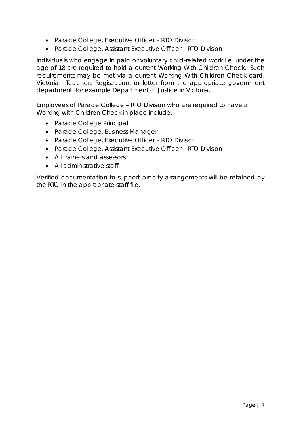- *Parade College, Executive Officer – RTO Division*
- *Parade College, Assistant Executive Officer – RTO Division*

Individuals who engage in paid or voluntary child-related work i.e. under the age of 18 are required to hold a current Working With Children Check. Such requirements may be met via a current Working With Children Check card, Victorian Teachers Registration, or letter from the appropriate government department, for example Department of Justice in Victoria.

Employees of Parade College – RTO Division who are *required* to have a Working with Children Check in place include:

- *Parade College Principal*
- *Parade College, Business Manager*
- *Parade College, Executive Officer – RTO Division*
- *Parade College, Assistant Executive Officer – RTO Division*
- *All trainers and assessors*
- *All administrative staff*

Verified documentation to support probity arrangements will be retained by the RTO in the appropriate staff file.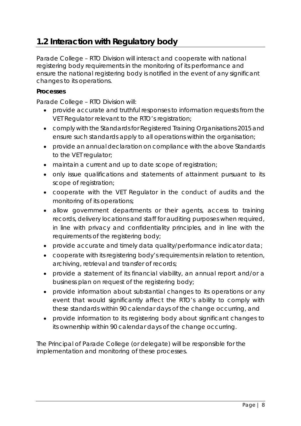# **1.2 Interaction with Regulatory body**

Parade College – RTO Division will interact and cooperate with national registering body requirements in the monitoring of its performance and ensure the national registering body is notified in the event of any significant changes to its operations.

#### **Processes**

Parade College – RTO Division will:

- provide accurate and truthful responses to information requests from the VET Regulator relevant to the RTO's registration;
- comply with the Standards for Registered Training Organisations 2015 and ensure such standards apply to all operations within the organisation;
- provide an annual declaration on compliance with the above Standards to the VET regulator;
- maintain a current and up to date scope of registration;
- only issue qualifications and statements of attainment pursuant to its scope of registration;
- cooperate with the VET Regulator in the conduct of audits and the monitoring of its operations;
- allow government departments or their agents, access to training records, delivery locations and staff for auditing purposes when required, in line with privacy and confidentiality principles, and in line with the requirements of the registering body;
- provide accurate and timely data quality/performance indicator data;
- cooperate with its registering body's requirements in relation to retention, archiving, retrieval and transfer of records;
- provide a statement of its financial viability, an annual report and/or a business plan on request of the registering body;
- provide information about substantial changes to its operations or any event that would significantly affect the RTO's ability to comply with these standards within 90 calendar days of the change occurring, and
- provide information to its registering body about significant changes to its ownership within 90 calendar days of the change occurring.

The Principal of Parade College (or delegate) will be responsible for the implementation and monitoring of these processes.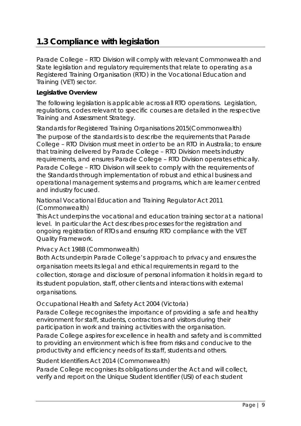# **1.3 Compliance with legislation**

Parade College – RTO Division will comply with relevant Commonwealth and State legislation and regulatory requirements that relate to operating as a Registered Training Organisation (RTO) in the Vocational Education and Training (VET) sector.

#### **Legislative Overview**

The following legislation is applicable across all RTO operations. Legislation, regulations, codes relevant to specific courses are detailed in the respective Training and Assessment Strategy.

*Standards for Registered Training Organisations 2015(Commonwealth)* The purpose of the standards is to describe the requirements that Parade College – RTO Division must meet in order to be an RTO in Australia; to ensure that training delivered by Parade College – RTO Division meets industry requirements, and ensures Parade College – RTO Division operates ethically. Parade College – RTO Division will seek to comply with the requirements of the Standards through implementation of robust and ethical business and operational management systems and programs, which are learner centred and industry focused.

## *National Vocational Education and Training Regulator Act 2011 (Commonwealth)*

This Act underpins the vocational and education training sector at a national level. In particular the Act describes processes for the registration and ongoing registration of RTOs and ensuring RTO compliance with the VET Quality Framework.

# *Privacy Act 1988 (Commonwealth)*

Both Acts underpin Parade College's approach to privacy and ensures the organisation meets its legal and ethical requirements in regard to the collection, storage and disclosure of personal information it holds in regard to its student population, staff, other clients and interactions with external organisations.

# *Occupational Health and Safety Act 2004 (Victoria)*

Parade College recognises the importance of providing a safe and healthy environment for staff, students, contractors and visitors during their participation in work and training activities with the organisation. Parade College aspires for excellence in health and safety and is committed to providing an environment which is free from risks and conducive to the productivity and efficiency needs of its staff, students and others.

#### *Student Identifiers Act 2014 (Commonwealth)*

Parade College recognises its obligations under the Act and will collect, verify and report on the Unique Student Identifier (USI) of each student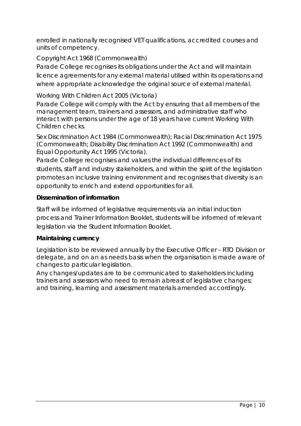enrolled in nationally recognised VET qualifications, accredited courses and units of competency.

# *Copyright Act 1968 (Commonwealth)*

Parade College recognises its obligations under the Act and will maintain licence agreements for any external material utilised within its operations and where appropriate acknowledge the original source of external material.

# *Working With Children Act 2005 (Victoria)*

Parade College will comply with the Act by ensuring that all members of the management team, trainers and assessors, and administrative staff who interact with persons under the age of 18 years have current Working With Children checks.

*Sex Discrimination Act 1984 (Commonwealth); Racial Discrimination Act 1975 (Commonwealth; Disability Discrimination Act 1992 (Commonwealth) and Equal Opportunity Act 1995 (Victoria).*

Parade College recognises and values the individual differences of its students, staff and industry stakeholders, and within the spirit of the legislation promotes an inclusive training environment and recognises that diversity is an opportunity to enrich and extend opportunities for all.

# **Dissemination of information**

Staff will be informed of legislative requirements via an initial induction process and Trainer Information Booklet, students will be informed of relevant legislation via the Student Information Booklet.

#### **Maintaining currency**

Legislation is to be reviewed annually by the Executive Officer – RTO Division or delegate, and on an as needs basis when the organisation is made aware of changes to particular legislation.

Any changes/updates are to be communicated to stakeholders including trainers and assessors who need to remain abreast of legislative changes; and training, learning and assessment materials amended accordingly.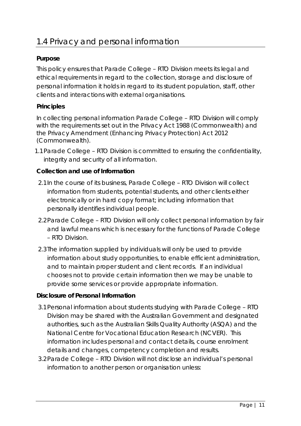# **Purpose**

This policy ensures that Parade College – RTO Division meets its legal and ethical requirements in regard to the collection, storage and disclosure of personal information it holds in regard to its student population, staff, other clients and interactions with external organisations.

# **Principles**

In collecting personal information Parade College – RTO Division will comply with the requirements set out in the *Privacy Act 1988 (Commonwealth)* and the *Privacy Amendment (Enhancing Privacy Protection) Act 2012 (Commonwealth).*

1.1Parade College – RTO Division is committed to ensuring the confidentiality, integrity and security of all information.

# **Collection and use of Information**

- 2.1In the course of its business, Parade College RTO Division will collect information from students, potential students, and other clients either electronically or in hard copy format; including information that personally identifies individual people.
- 2.2Parade College RTO Division will only collect personal information by fair and lawful means which is necessary for the functions of Parade College – RTO Division.
- 2.3The information supplied by individuals will only be used to provide information about study opportunities, to enable efficient administration, and to maintain proper student and client records. If an individual chooses not to provide certain information then we may be unable to provide some services or provide appropriate information.

# **Disclosure of Personal Information**

- 3.1Personal information about students studying with Parade College RTO Division may be shared with the Australian Government and designated authorities, such as the Australian Skills Quality Authority (ASQA) and the National Centre for Vocational Education Research (NCVER). This information includes personal and contact details, course enrolment details and changes, competency completion and results.
- 3.2Parade College RTO Division will not disclose an individual's personal information to another person or organisation unless: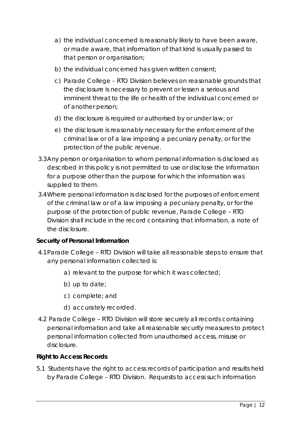- a) the individual concerned is reasonably likely to have been aware, or made aware, that information of that kind is usually passed to that person or organisation;
- b) the individual concerned has given written consent;
- c) Parade College RTO Division believes on reasonable grounds that the disclosure is necessary to prevent or lessen a serious and imminent threat to the life or health of the individual concerned or of another person;
- d) the disclosure is required or authorised by or under law; or
- e) the disclosure is reasonably necessary for the enforcement of the criminal law or of a law imposing a pecuniary penalty, or for the protection of the public revenue.
- 3.3Any person or organisation to whom personal information is disclosed as described in this policy is not permitted to use or disclose the information for a purpose other than the purpose for which the information was supplied to them.
- 3.4Where personal information is disclosed for the purposes of enforcement of the criminal law or of a law imposing a pecuniary penalty, or for the purpose of the protection of public revenue, Parade College – RTO Division shall include in the record containing that information, a note of the disclosure.

# **Security of Personal Information**

- 4.1Parade College RTO Division will take all reasonable steps to ensure that any personal information collected is:
	- a) relevant to the purpose for which it was collected;
	- b) up to date;
	- c) complete; and
	- d) accurately recorded.
- 4.2 Parade College RTO Division will store securely all records containing personal information and take all reasonable security measures to protect personal information collected from unauthorised access, misuse or disclosure.

#### **Right to Access Records**

5.1 Students have the right to access records of participation and results held by Parade College – RTO Division. Requests to access such information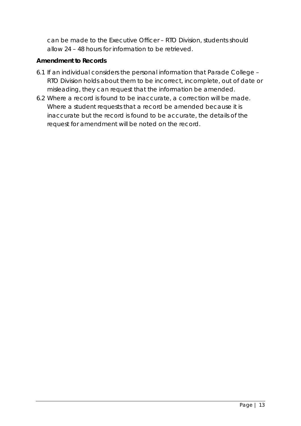can be made to the Executive Officer – RTO Division, students should allow 24 – 48 hours for information to be retrieved.

# **Amendment to Records**

- 6.1 If an individual considers the personal information that Parade College RTO Division holds about them to be incorrect, incomplete, out of date or misleading, they can request that the information be amended.
- 6.2 Where a record is found to be inaccurate, a correction will be made. Where a student requests that a record be amended because it is inaccurate but the record is found to be accurate, the details of the request for amendment will be noted on the record.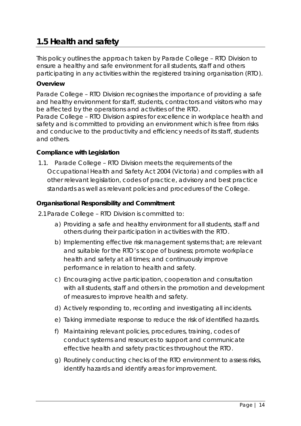# **1.5 Health and safety**

This policy outlines the approach taken by Parade College – RTO Division to ensure a healthy and safe environment for all students, staff and others participating in any activities within the registered training organisation (RTO).

#### **Overview**

Parade College – RTO Division recognises the importance of providing a safe and healthy environment for staff, students, contractors and visitors who may be affected by the operations and activities of the RTO. Parade College – RTO Division aspires for excellence in workplace health and safety and is committed to providing an environment which is free from risks and conducive to the productivity and efficiency needs of its staff, students and others.

#### **Compliance with Legislation**

1.1. Parade College – RTO Division meets the requirements of the *Occupational Health and Safety Act 2004* (Victoria) and complies with all other relevant legislation, codes of practice, advisory and best practice standards as well as relevant policies and procedures of the College.

#### **Organisational Responsibility and Commitment**

- 2.1Parade College RTO Division is committed to:
	- a) Providing a safe and healthy environment for all students, staff and others during their participation in activities with the RTO.
	- b) Implementing effective risk management systems that; are relevant and suitable for the RTO's scope of business; promote workplace health and safety at all times; and continuously improve performance in relation to health and safety.
	- c) Encouraging active participation, cooperation and consultation with all students, staff and others in the promotion and development of measures to improve health and safety.
	- d) Actively responding to, recording and investigating all incidents.
	- e) Taking immediate response to reduce the risk of identified hazards.
	- f) Maintaining relevant policies, procedures, training, codes of conduct systems and resources to support and communicate effective health and safety practices throughout the RTO.
	- g) Routinely conducting checks of the RTO environment to assess risks, identify hazards and identify areas for improvement.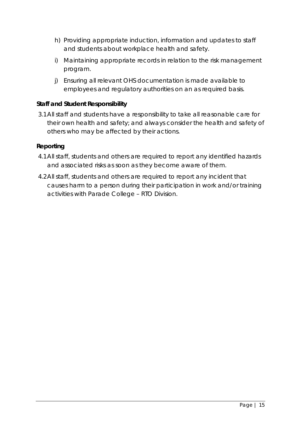- h) Providing appropriate induction, information and updates to staff and students about workplace health and safety.
- i) Maintaining appropriate records in relation to the risk management program.
- j) Ensuring all relevant OHS documentation is made available to employees and regulatory authorities on an as required basis.

# **Staff and Student Responsibility**

3.1All staff and students have a responsibility to take all reasonable care for their own health and safety; and always consider the health and safety of others who may be affected by their actions.

# **Reporting**

- 4.1All staff, students and others are required to report any identified hazards and associated risks as soon as they become aware of them.
- 4.2All staff, students and others are required to report any incident that causes harm to a person during their participation in work and/or training activities with Parade College – RTO Division.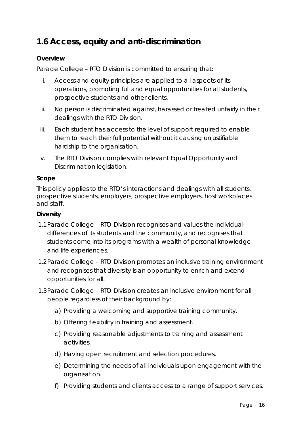# **1.6 Access, equity and anti-discrimination**

#### **Overview**

Parade College – RTO Division is committed to ensuring that:

- i. Access and equity principles are applied to all aspects of its operations, promoting full and equal opportunities for all students, prospective students and other clients.
- ii. No person is discriminated against, harassed or treated unfairly in their dealings with the RTO Division.
- iii. Each student has access to the level of support required to enable them to reach their full potential without it causing unjustifiable hardship to the organisation.
- iv. The RTO Division complies with relevant Equal Opportunity and Discrimination legislation.

#### **Scope**

This policy applies to the RTO's interactions and dealings with all students, prospective students, employers, prospective employers, host workplaces and staff.

#### **Diversity**

- 1.1Parade College RTO Division recognises and values the individual differences of its students and the community, and recognises that students come into its programs with a wealth of personal knowledge and life experiences.
- 1.2Parade College RTO Division promotes an inclusive training environment and recognises that diversity is an opportunity to enrich and extend opportunities for all.
- 1.3Parade College RTO Division creates an inclusive environment for all people regardless of their background by:
	- a) Providing a welcoming and supportive training community.
	- b) Offering flexibility in training and assessment.
	- c) Providing reasonable adjustments to training and assessment activities.
	- d) Having open recruitment and selection procedures.
	- e) Determining the needs of all individuals upon engagement with the organisation.
	- f) Providing students and clients access to a range of support services.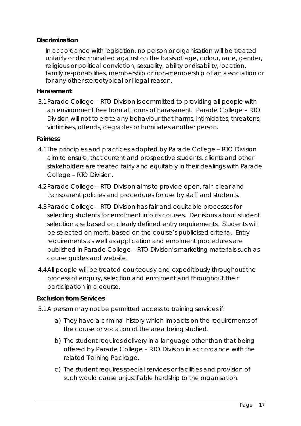#### **Discrimination**

In accordance with legislation, no person or organisation will be treated unfairly or discriminated against on the basis of age, colour, race, gender, religious or political conviction, sexuality, ability or disability, location, family responsibilities, membership or non-membership of an association or for any other stereotypical or illegal reason.

#### **Harassment**

3.1Parade College – RTO Division is committed to providing all people with an environment free from all forms of harassment. Parade College – RTO Division will not tolerate any behaviour that harms, intimidates, threatens, victimises, offends, degrades or humiliates another person.

#### **Fairness**

- 4.1The principles and practices adopted by Parade College RTO Division aim to ensure, that current and prospective students, clients and other stakeholders are treated fairly and equitably in their dealings with Parade College – RTO Division.
- 4.2Parade College RTO Division aims to provide open, fair, clear and transparent policies and procedures for use by staff and students.
- 4.3Parade College RTO Division has fair and equitable processes for selecting students for enrolment into its courses. Decisions about student selection are based on clearly defined entry requirements. Students will be selected on merit, based on the course's publicised criteria. Entry requirements as well as application and enrolment procedures are published in Parade College – RTO Division's marketing materials such as course guides and website.
- 4.4All people will be treated courteously and expeditiously throughout the process of enquiry, selection and enrolment and throughout their participation in a course.

#### **Exclusion from Services**

- 5.1A person may not be permitted access to training services if:
	- a) They have a criminal history which impacts on the requirements of the course or vocation of the area being studied.
	- b) The student requires delivery in a language other than that being offered by Parade College – RTO Division in accordance with the related Training Package.
	- c) The student requires special services or facilities and provision of such would cause unjustifiable hardship to the organisation.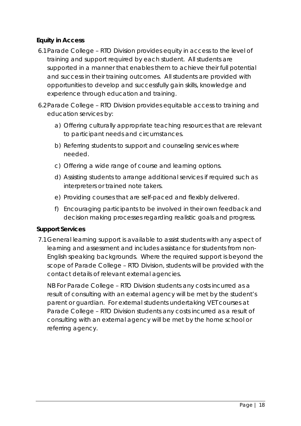# **Equity in Access**

- 6.1Parade College RTO Division provides equity in access to the level of training and support required by each student. All students are supported in a manner that enables them to achieve their full potential and success in their training outcomes. All students are provided with opportunities to develop and successfully gain skills, knowledge and experience through education and training.
- 6.2Parade College RTO Division provides equitable access to training and education services by:
	- a) Offering culturally appropriate teaching resources that are relevant to participant needs and circumstances.
	- b) Referring students to support and counseling services where needed.
	- c) Offering a wide range of course and learning options.
	- d) Assisting students to arrange additional services if required such as interpreters or trained note takers.
	- e) Providing courses that are self-paced and flexibly delivered.
	- f) Encouraging participants to be involved in their own feedback and decision making processes regarding realistic goals and progress.

#### **Support Services**

7.1General learning support is available to assist students with any aspect of learning and assessment and includes assistance for students from non-English speaking backgrounds. Where the required support is beyond the scope of Parade College – RTO Division, students will be provided with the contact details of relevant external agencies.

NB For Parade College – RTO Division students any costs incurred as a result of consulting with an external agency will be met by the student's parent or guardian. For external students undertaking VET courses at Parade College – RTO Division students any costs incurred as a result of consulting with an external agency will be met by the home school or referring agency.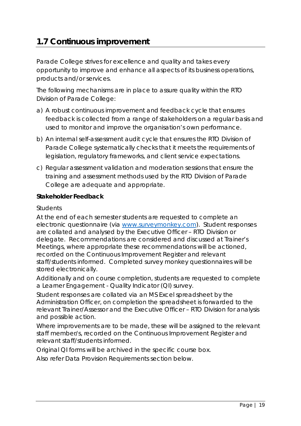# **1.7 Continuous improvement**

Parade College strives for excellence and quality and takes every opportunity to improve and enhance all aspects of its business operations, products and/or services.

The following mechanisms are in place to assure quality within the RTO Division of Parade College:

- a) A robust continuous improvement and feedback cycle that ensures feedback is collected from a range of stakeholders on a regular basis and used to monitor and improve the organisation's own performance.
- b) An internal self-assessment audit cycle that ensures the RTO Division of Parade College systematically checks that it meets the requirements of legislation, regulatory frameworks, and client service expectations.
- c) Regular assessment validation and moderation sessions that ensure the training and assessment methods used by the RTO Division of Parade College are adequate and appropriate.

#### **Stakeholder Feedback**

#### *Students*

At the end of each semester students are requested to complete an electronic questionnaire (via [www.surveymonkey.com\)](http://www.surveymonkey.com/). Student responses are collated and analysed by the Executive Officer – RTO Division or delegate. Recommendations are considered and discussed at Trainer's Meetings, where appropriate these recommendations will be actioned, recorded on the Continuous Improvement Register and relevant staff/students informed. Completed survey monkey questionnaires will be stored electronically.

Additionally and on course completion, students are requested to complete a Learner Engagement - Quality Indicator (QI) survey.

Student responses are collated via an MS Excel spreadsheet by the Administration Officer, on completion the spreadsheet is forwarded to the relevant Trainer/Assessor and the Executive Officer – RTO Division for analysis and possible action.

Where improvements are to be made, these will be assigned to the relevant staff member/s, recorded on the Continuous Improvement Register and relevant staff/students informed.

Original QI forms will be archived in the specific course box.

Also refer Data Provision Requirements section below.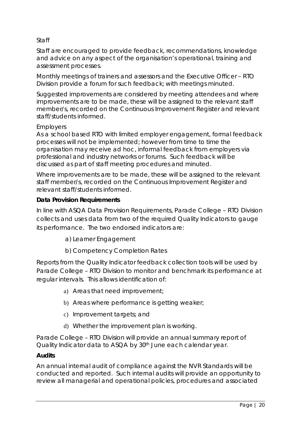# *Staff*

Staff are encouraged to provide feedback, recommendations, knowledge and advice on any aspect of the organisation's operational, training and assessment processes.

Monthly meetings of trainers and assessors and the Executive Officer – RTO Division provide a forum for such feedback; with meetings minuted.

Suggested improvements are considered by meeting attendees and where improvements are to be made, these will be assigned to the relevant staff member/s, recorded on the Continuous Improvement Register and relevant staff/students informed.

#### *Employers*

As a school based RTO with limited employer engagement, formal feedback processes will not be implemented; however from time to time the organisation may receive ad hoc, informal feedback from employers via professional and industry networks or forums. Such feedback will be discussed as part of staff meeting procedures and minuted.

Where improvements are to be made, these will be assigned to the relevant staff member/s, recorded on the Continuous Improvement Register and relevant staff/students informed.

#### **Data Provision Requirements**

In line with ASQA Data Provision Requirements, Parade College – RTO Division collects and uses data from two of the required Quality Indicators to gauge its performance. The two endorsed indicators are:

a) Learner Engagement

b) Competency Completion Rates

Reports from the Quality Indicator feedback collection tools will be used by Parade College – RTO Division to monitor and benchmark its performance at regular intervals. This allows identification of:

- a) Areas that need improvement;
- b) Areas where performance is getting weaker;
- c) Improvement targets; and
- d) Whether the improvement plan is working.

Parade College – RTO Division will provide an annual summary report of Quality Indicator data to ASQA by 30<sup>th</sup> June each calendar year.

#### **Audits**

An annual internal audit of compliance against the NVR Standards will be conducted and reported. Such internal audits will provide an opportunity to review all managerial and operational policies, procedures and associated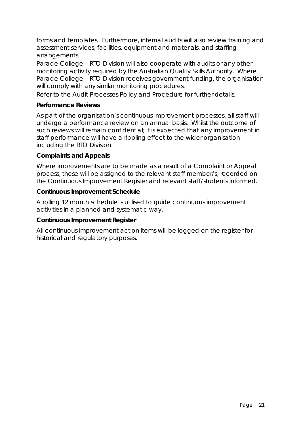forms and templates. Furthermore, internal audits will also review training and assessment services, facilities, equipment and materials, and staffing arrangements.

Parade College – RTO Division will also cooperate with audits or any other monitoring activity required by the Australian Quality Skills Authority. Where Parade College – RTO Division receives government funding, the organisation will comply with any similar monitoring procedures.

Refer to the Audit Processes Policy and Procedure for further details.

#### **Performance Reviews**

As part of the organisation's continuous improvement processes, all staff will undergo a performance review on an annual basis. Whilst the outcome of such reviews will remain confidential; it is expected that any improvement in staff performance will have a rippling effect to the wider organisation including the RTO Division.

#### **Complaints and Appeals**

Where improvements are to be made as a result of a Complaint or Appeal process, these will be assigned to the relevant staff member/s, recorded on the Continuous Improvement Register and relevant staff/students informed.

#### **Continuous Improvement Schedule**

A rolling 12 month schedule is utilised to guide continuous improvement activities in a planned and systematic way.

#### **Continuous Improvement Register**

All continuous improvement action items will be logged on the register for historical and regulatory purposes.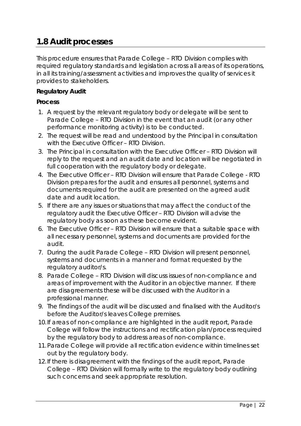# **1.8 Audit processes**

This procedure ensures that Parade College – RTO Division complies with required regulatory standards and legislation across all areas of its operations, in all its training/assessment activities and improves the quality of services it provides to stakeholders.

#### **Regulatory Audit**

#### **Process**

- 1. A request by the relevant regulatory body or delegate will be sent to Parade College – RTO Division in the event that an audit (or any other performance monitoring activity) is to be conducted.
- 2. The request will be read and understood by the Principal in consultation with the Executive Officer - RTO Division.
- 3. The Principal in consultation with the Executive Officer RTO Division will reply to the request and an audit date and location will be negotiated in full cooperation with the regulatory body or delegate.
- 4. The Executive Officer RTO Division will ensure that Parade College RTO Division prepares for the audit and ensures all personnel, systems and documents required for the audit are presented on the agreed audit date and audit location.
- 5. If there are any issues or situations that may affect the conduct of the regulatory audit the Executive Officer – RTO Division will advise the regulatory body as soon as these become evident.
- 6. The Executive Officer RTO Division will ensure that a suitable space with all necessary personnel, systems and documents are provided for the audit.
- 7. During the audit Parade College RTO Division will present personnel, systems and documents in a manner and format requested by the regulatory auditor/s.
- 8. Parade College RTO Division will discuss issues of non-compliance and areas of improvement with the Auditor in an objective manner. If there are disagreements these will be discussed with the Auditor in a professional manner.
- 9. The findings of the audit will be discussed and finalised with the Auditor/s before the Auditor/s leaves College premises.
- 10.If areas of non-compliance are highlighted in the audit report, Parade College will follow the instructions and rectification plan/process required by the regulatory body to address areas of non-compliance.
- 11.Parade College will provide all rectification evidence within timelines set out by the regulatory body.
- 12.If there is disagreement with the findings of the audit report, Parade College – RTO Division will formally write to the regulatory body outlining such concerns and seek appropriate resolution.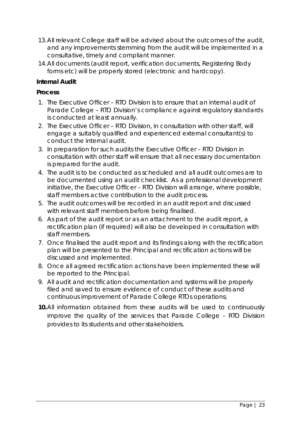- 13.All relevant College staff will be advised about the outcomes of the audit, and any improvements stemming from the audit will be implemented in a consultative, timely and compliant manner.
- 14.All documents (audit report, verification documents, Registering Body forms etc) will be properly stored (electronic and hardcopy).

# **Internal Audit**

## **Process**

- 1. The Executive Officer RTO Division is to ensure that an internal audit of Parade College – RTO Division's compliance against regulatory standards is conducted at least annually.
- 2. The Executive Officer RTO Division, in consultation with other staff, will engage a suitably qualified and experienced external consultant(s) to conduct the internal audit.
- 3. In preparation for such audits the Executive Officer RTO Division in consultation with other staff will ensure that all necessary documentation is prepared for the audit.
- 4. The audit is to be conducted as scheduled and all audit outcomes are to be documented using an audit checklist. As a professional development initiative, the Executive Officer – RTO Division will arrange, where possible, staff members active contribution to the audit process.
- 5. The audit outcomes will be recorded in an audit report and discussed with relevant staff members before being finalised.
- 6. As part of the audit report or as an attachment to the audit report, a rectification plan (if required) will also be developed in consultation with staff members.
- 7. Once finalised the audit report and its findings along with the rectification plan will be presented to the Principal and rectification actions will be discussed and implemented.
- 8. Once all agreed rectification actions have been implemented these will be reported to the Principal.
- 9. All audit and rectification documentation and systems will be properly filed and saved to ensure evidence of conduct of these audits and continuous improvement of Parade College RTOs operations;
- **10.**All information obtained from these audits will be used to continuously improve the quality of the services that Parade College – RTO Division provides to its students and other stakeholders.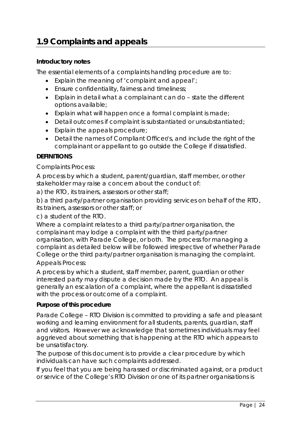# **1.9 Complaints and appeals**

#### **Introductory notes**

The essential elements of a complaints handling procedure are to:

- Explain the meaning of 'complaint and appeal';
- Ensure confidentiality, fairness and timeliness;
- Explain in detail what a complainant can do state the different options available;
- Explain what will happen once a formal complaint is made;
- Detail outcomes if complaint is substantiated or unsubstantiated;
- Explain the appeals procedure;
- Detail the names of Compliant Officer/s, and include the right of the complainant or appellant to go outside the College if dissatisfied.

# **DEFINITIONS**

Complaints Process:

A process by which a student, parent/guardian, staff member, or other stakeholder may raise a concern about the conduct of:

a) the RTO, its trainers, assessors or other staff;

b) a third party/partner organisation providing services on behalf of the RTO, its trainers, assessors or other staff; or

c) a student of the RTO.

Where a complaint relates to a third party/partner organisation, the complainant may lodge a complaint with the third party/partner organisation, with Parade College, or both. The process for managing a complaint as detailed below will be followed irrespective of whether Parade College or the third party/partner organisation is managing the complaint. Appeals Process:

A process by which a student, staff member, parent, guardian or other interested party may dispute a decision made by the RTO. An appeal is generally an escalation of a complaint, where the appellant is dissatisfied with the process or outcome of a complaint.

#### **Purpose of this procedure**

Parade College – RTO Division is committed to providing a safe and pleasant working and learning environment for all students, parents, guardian, staff and visitors. However we acknowledge that sometimes individuals may feel aggrieved about something that is happening at the RTO which appears to be unsatisfactory.

The purpose of this document is to provide a clear procedure by which individuals can have such complaints addressed.

If you feel that you are being harassed or discriminated against, or a product or service of the College's RTO Division or one of its partner organisations is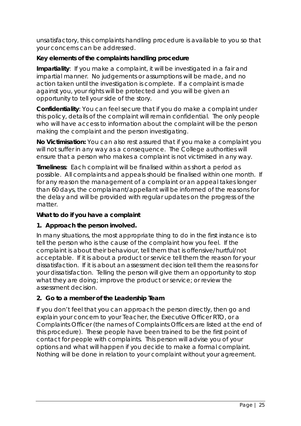unsatisfactory, this complaints handling procedure is available to you so that your concerns can be addressed.

# **Key elements of the complaints handling procedure**

**Impartiality**: If you make a complaint, it will be investigated in a fair and impartial manner. No judgements or assumptions will be made, and no action taken until the investigation is complete. If a complaint is made against you, your rights will be protected and you will be given an opportunity to tell your side of the story.

**Confidentiality**: You can feel secure that if you do make a complaint under this policy, details of the complaint will remain confidential. The only people who will have access to information about the complaint will be the person making the complaint and the person investigating.

**No Victimisation:** You can also rest assured that if you make a complaint you will not suffer in any way as a consequence. The College authorities will ensure that a person who makes a complaint is not victimised in any way.

**Timeliness**: Each complaint will be finalised within as short a period as possible. All complaints and appeals should be finalised within one month. If for any reason the management of a complaint or an appeal takes longer than 60 days, the complainant/appellant will be informed of the reasons for the delay and will be provided with regular updates on the progress of the matter.

# **What to do if you have a complaint**

# **1. Approach the person involved.**

In many situations, the most appropriate thing to do in the first instance is to tell the person who is the cause of the complaint how you feel. If the complaint is about their behaviour, tell them that is offensive/hurtful/not acceptable. If it is about a product or service tell them the reason for your dissatisfaction. If it is about an assessment decision tell them the reasons for your dissatisfaction. Telling the person will give them an opportunity to stop what they are doing; improve the product or service; or review the assessment decision.

# **2. Go to a member of the Leadership Team**

If you don't feel that you can approach the person directly, then go and explain your concern to your Teacher, the Executive Officer RTO, or a Complaints Officer (the names of Complaints Officers are listed at the end of this procedure). These people have been trained to be the first point of contact for people with complaints. This person will advise you of your options and what will happen if you decide to make a formal complaint. Nothing will be done in relation to your complaint without your agreement.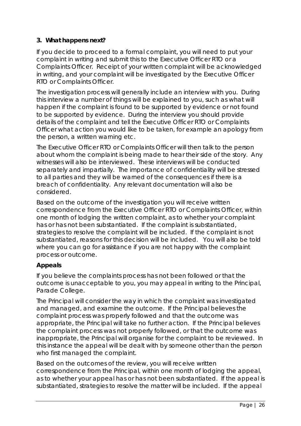# **3. What happens next?**

If you decide to proceed to a formal complaint, you will need to put your complaint in writing and submit this to the Executive Officer RTO or a Complaints Officer. Receipt of your written complaint will be acknowledged in writing, and your complaint will be investigated by the Executive Officer RTO or Complaints Officer.

The investigation process will generally include an interview with you. During this interview a number of things will be explained to you, such as what will happen if the complaint is found to be supported by evidence or not found to be supported by evidence. During the interview you should provide details of the complaint and tell the Executive Officer RTO or Complaints Officer what action you would like to be taken, for example an apology from the person, a written warning etc.

The Executive Officer RTO or Complaints Officer will then talk to the person about whom the complaint is being made to hear their side of the story. Any witnesses will also be interviewed. These interviews will be conducted separately and impartially. The importance of confidentiality will be stressed to all parties and they will be warned of the consequences if there is a breach of confidentiality. Any relevant documentation will also be considered.

Based on the outcome of the investigation you will receive written correspondence from the Executive Officer RTO or Complaints Officer, within one month of lodging the written complaint, as to whether your complaint has or has not been substantiated. If the complaint is substantiated, strategies to resolve the complaint will be included. If the complaint is not substantiated, reasons for this decision will be included. You will also be told where you can go for assistance if you are not happy with the complaint process or outcome.

# **Appeals**

If you believe the complaints process has not been followed or that the outcome is unacceptable to you, you may appeal in writing to the Principal, Parade College.

The Principal will consider the way in which the complaint was investigated and managed, and examine the outcome. If the Principal believes the complaint process was properly followed and that the outcome was appropriate, the Principal will take no further action. If the Principal believes the complaint process was not properly followed, or that the outcome was inappropriate, the Principal will organise for the complaint to be reviewed. In this instance the appeal will be dealt with by someone other than the person who first managed the complaint.

Based on the outcomes of the review, you will receive written correspondence from the Principal, within one month of lodging the appeal, as to whether your appeal has or has not been substantiated. If the appeal is substantiated, strategies to resolve the matter will be included. If the appeal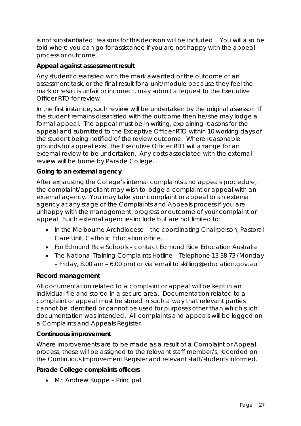is not substantiated, reasons for this decision will be included. You will also be told where you can go for assistance if you are not happy with the appeal process or outcome.

# **Appeal against assessment result**

Any student dissatisfied with the mark awarded or the outcome of an assessment task, or the final result for a unit/module because they feel the mark or result is unfair or incorrect, may submit a request to the Executive Officer RTO for review.

In the first instance, such review will be undertaken by the original assessor. If the student remains dissatisfied with the outcome then he/she may lodge a formal appeal. The appeal must be in writing, explaining reasons for the appeal and submitted to the Exceptive Officer RTO within 10 working days of the student being notified of the review outcome. Where reasonable grounds for appeal exist, the Executive Officer RTO will arrange for an external review to be undertaken. Any costs associated with the external review will be borne by Parade College.

#### **Going to an external agency**

After exhausting the College's internal complaints and appeals procedure, the complaint/appellant may wish to lodge a complaint or appeal with an external agency. You may take your complaint or appeal to an external agency at any stage of the Complaints and Appeals process if you are unhappy with the management, progress or outcome of your complaint or appeal. Such external agencies include but are not limited to:

- In the Melbourne Archdiocese the coordinating Chairperson, Pastoral Care Unit, Catholic Education office.
- For Edmund Rice Schools contact Edmund Rice Education Australia
- The National Training Complaints Hotline Telephone 13 38 73 (Monday – Friday, 8.00 am – 6.00 pm) or via email to skilling@education.gov.au

#### **Record management**

All documentation related to a complaint or appeal will be kept in an individual file and stored in a secure area. Documentation related to a complaint or appeal must be stored in such a way that relevant parties cannot be identified or cannot be used for purposes other than which such documentation was intended. All complaints and appeals will be logged on a Complaints and Appeals Register.

# **Continuous improvement**

Where improvements are to be made as a result of a Complaint or Appeal process, these will be assigned to the relevant staff member/s, recorded on the Continuous Improvement Register and relevant staff/students informed.

#### **Parade College complaints officers**

• Mr. Andrew Kuppe – Principal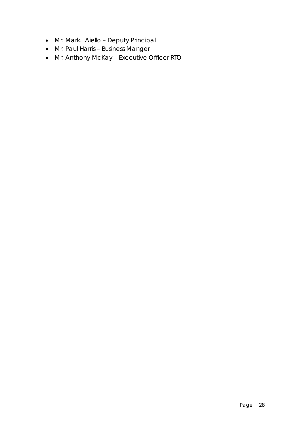- Mr. Mark. Aiello Deputy Principal
- Mr. Paul Harris Business Manger
- Mr. Anthony McKay Executive Officer RTO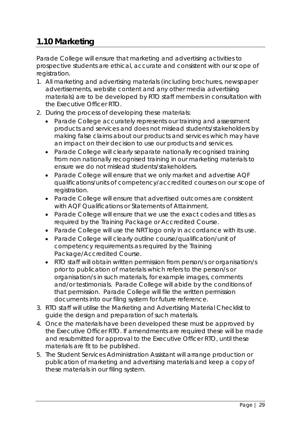# **1.10 Marketing**

Parade College will ensure that marketing and advertising activities to prospective students are ethical, accurate and consistent with our scope of registration.

- 1. All marketing and advertising materials (including brochures, newspaper advertisements, website content and any other media advertising materials) are to be developed by RTO staff members in consultation with the Executive Officer RTO.
- 2. During the process of developing these materials:
	- Parade College accurately represents our training and assessment products and services and does not mislead students/stakeholders by making false claims about our products and services which may have an impact on their decision to use our products and services.
	- Parade College will clearly separate nationally recognised training from non nationally recognised training in our marketing materials to ensure we do not mislead students/stakeholders.
	- Parade College will ensure that we only market and advertise AQF qualifications/units of competency/accredited courses on our scope of registration.
	- Parade College will ensure that advertised outcomes are consistent with AQF Qualifications or Statements of Attainment.
	- Parade College will ensure that we use the exact codes and titles as required by the Training Package or Accredited Course.
	- Parade College will use the NRT logo only in accordance with its use.
	- Parade College will clearly outline course/qualification/unit of competency requirements as required by the Training Package/Accredited Course.
	- RTO staff will obtain written permission from person/s or organisation/s prior to publication of materials which refers to the person/s or organisation/s in such materials, for example images, comments and/or testimonials. Parade College will abide by the conditions of that permission. Parade College will file the written permission documents into our filing system for future reference.
- 3. RTO staff will utilise the Marketing and Advertising Material Checklist to guide the design and preparation of such materials.
- 4. Once the materials have been developed these must be approved by the Executive Officer RTO. If amendments are required these will be made and resubmitted for approval to the Executive Officer RTO, until these materials are fit to be published.
- 5. The Student Services Administration Assistant will arrange production or publication of marketing and advertising materials and keep a copy of these materials in our filing system.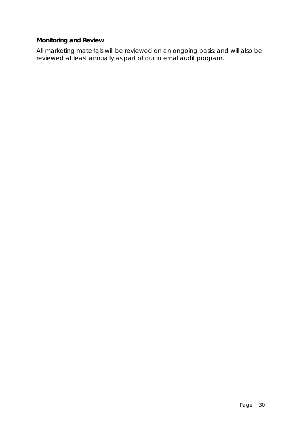# **Monitoring and Review**

All marketing materials will be reviewed on an ongoing basis; and will also be reviewed at least annually as part of our internal audit program.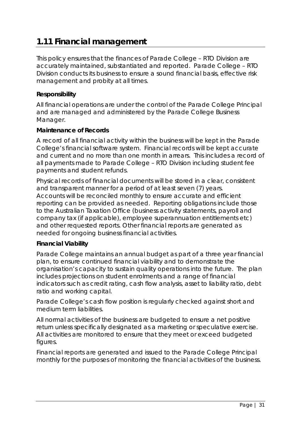# **1.11 Financial management**

This policy ensures that the finances of Parade College – RTO Division are accurately maintained, substantiated and reported. Parade College – RTO Division conducts its business to ensure a sound financial basis, effective risk management and probity at all times.

## **Responsibility**

All financial operations are under the control of the Parade College Principal and are managed and administered by the Parade College Business Manager.

#### **Maintenance of Records**

A record of all financial activity within the business will be kept in the Parade College's financial software system. Financial records will be kept accurate and current and no more than one month in arrears. This includes a record of all payments made to Parade College – RTO Division including student fee payments and student refunds.

Physical records of financial documents will be stored in a clear, consistent and transparent manner for a period of at least seven (7) years. Accounts will be reconciled monthly to ensure accurate and efficient reporting can be provided as needed. Reporting obligations include those to the Australian Taxation Office (business activity statements, payroll and company tax (if applicable), employee superannuation entitlements etc) and other requested reports. Other financial reports are generated as needed for ongoing business financial activities.

#### **Financial Viability**

Parade College maintains an annual budget as part of a three year financial plan, to ensure continued financial viability and to demonstrate the organisation's capacity to sustain quality operations into the future. The plan includes projections on student enrolments and a range of financial indicators such as credit rating, cash flow analysis, asset to liability ratio, debt ratio and working capital.

Parade College's cash flow position is regularly checked against short and medium term liabilities.

All normal activities of the business are budgeted to ensure a net positive return unless specifically designated as a marketing or speculative exercise. All activities are monitored to ensure that they meet or exceed budgeted figures.

Financial reports are generated and issued to the Parade College Principal monthly for the purposes of monitoring the financial activities of the business.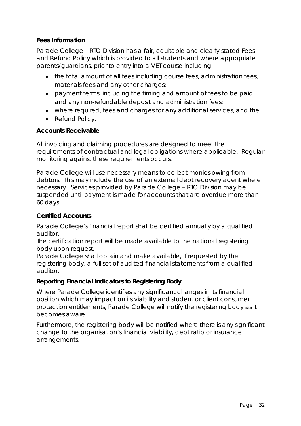#### **Fees Information**

Parade College – RTO Division has a fair, equitable and clearly stated Fees and Refund Policy which is provided to all students and where appropriate parents/guardians, prior to entry into a VET course including:

- the total amount of all fees including course fees, administration fees, materials fees and any other charges;
- payment terms, including the timing and amount of fees to be paid and any non-refundable deposit and administration fees;
- where required, fees and charges for any additional services, and the
- Refund Policy.

#### **Accounts Receivable**

All invoicing and claiming procedures are designed to meet the requirements of contractual and legal obligations where applicable. Regular monitoring against these requirements occurs.

Parade College will use necessary means to collect monies owing from debtors. This may include the use of an external debt recovery agent where necessary. Services provided by Parade College – RTO Division may be suspended until payment is made for accounts that are overdue more than 60 days.

#### **Certified Accounts**

Parade College's financial report shall be certified annually by a qualified auditor.

The certification report will be made available to the national registering body upon request.

Parade College shall obtain and make available, if requested by the registering body, a full set of audited financial statements from a qualified auditor.

#### **Reporting Financial Indicators to Registering Body**

Where Parade College identifies any significant changes in its financial position which may impact on its viability and student or client consumer protection entitlements, Parade College will notify the registering body as it becomes aware.

Furthermore, the registering body will be notified where there is any significant change to the organisation's financial viability, debt ratio or insurance arrangements.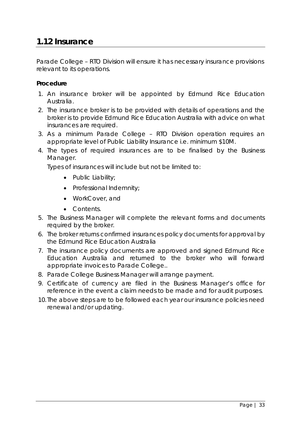# **1.12 Insurance**

Parade College – RTO Division will ensure it has necessary insurance provisions relevant to its operations.

#### **Procedure**

- 1. An insurance broker will be appointed by Edmund Rice Education Australia.
- 2. The insurance broker is to be provided with details of operations and the broker is to provide Edmund Rice Education Australia with advice on what insurances are required.
- 3. As a minimum Parade College RTO Division operation requires an appropriate level of Public Liability Insurance i.e. minimum \$10M.
- 4. The types of required insurances are to be finalised by the Business Manager.

Types of insurances will include but not be limited to:

- Public Liability;
- Professional Indemnity;
- WorkCover, and
- Contents.
- 5. The Business Manager will complete the relevant forms and documents required by the broker.
- 6. The broker returns confirmed insurances policy documents for approval by the Edmund Rice Education Australia
- 7. The insurance policy documents are approved and signed Edmund Rice Education Australia and returned to the broker who will forward appropriate invoices to Parade College..
- 8. Parade College Business Manager will arrange payment.
- 9. Certificate of currency are filed in the Business Manager's office for reference in the event a claim needs to be made and for audit purposes.
- 10. The above steps are to be followed each year our insurance policies need renewal and/or updating.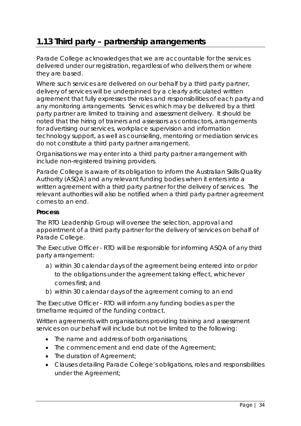# **1.13 Third party – partnership arrangements**

Parade College acknowledges that we are accountable for the services delivered under our registration, regardless of who delivers them or where they are based.

Where such services are delivered on our behalf by a third party partner, delivery of services will be underpinned by a clearly articulated written agreement that fully expresses the roles and responsibilities of each party and any monitoring arrangements. Services which may be delivered by a third party partner are limited to training and assessment delivery. It should be noted that the hiring of trainers and assessors as contractors, arrangements for advertising our services, workplace supervision and information technology support, as well as counselling, mentoring or mediation services do not constitute a third party partner arrangement.

Organisations we may enter into a third party partner arrangement with include non-registered training providers.

Parade College is aware of its obligation to inform the Australian Skills Quality Authority (ASQA) and any relevant funding bodies when it enters into a written agreement with a third party partner for the delivery of services. The relevant authorities will also be notified when a third party partner agreement comes to an end.

#### **Process**

The RTO Leadership Group will oversee the selection, approval and appointment of a third party partner for the delivery of services on behalf of Parade College.

The Executive Officer - RTO will be responsible for informing ASQA of any third party arrangement:

- a) within 30 calendar days of the agreement being entered into or prior to the obligations under the agreement taking effect, whichever comes first; and
- b) within 30 calendar days of the agreement coming to an end

The Executive Officer - RTO will inform any funding bodies as per the timeframe required of the funding contract.

Written agreements with organisations providing training and assessment services on our behalf will include but not be limited to the following:

- The name and address of both organisations;
- The commencement and end date of the Agreement;
- The duration of Agreement;
- Clauses detailing Parade College's obligations, roles and responsibilities under the Agreement;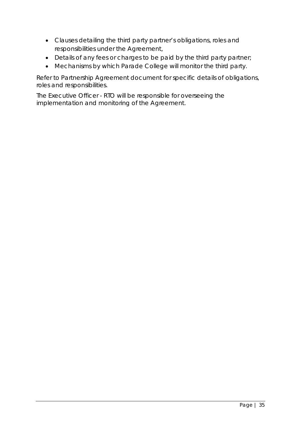- Clauses detailing the third party partner's obligations, roles and responsibilities under the Agreement,
- Details of any fees or charges to be paid by the third party partner;
- Mechanisms by which Parade College will monitor the third party.

Refer to Partnership Agreement document for specific details of obligations, roles and responsibilities.

The Executive Officer - RTO will be responsible for overseeing the implementation and monitoring of the Agreement.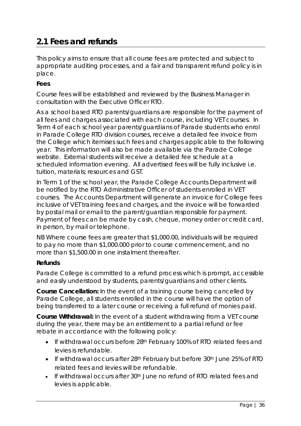# **2.1 Fees and refunds**

This policy aims to ensure that all course fees are protected and subject to appropriate auditing processes, and a fair and transparent refund policy is in place.

# **Fees**

Course fees will be established and reviewed by the Business Manager in consultation with the Executive Officer RTO.

As a school based RTO parents/guardians are responsible for the payment of all fees and charges associated with each course, including VET courses. In Term 4 of each school year parents/guardians of Parade students who enrol in Parade College RTO division courses, receive a detailed fee invoice from the College which itemises such fees and charges applicable to the following year. This information will also be made available via the Parade College website. External students will receive a detailed fee schedule at a scheduled information evening. All advertised fees will be fully inclusive i.e. tuition, materials; resources and GST.

In Term 1 of the school year, the Parade College Accounts Department will be notified by the RTO Administrative Officer of students enrolled in VET courses. The Accounts Department will generate an invoice for College fees inclusive of VET training fees and charges, and the invoice will be forwarded by postal mail or email to the parent/guardian responsible for payment. Payment of fees can be made by cash, cheque, money order or credit card, in person, by mail or telephone.

NB Where course fees are greater that \$1,000.00, individuals will be required to pay no more than \$1,000.000 prior to course commencement, and no more than \$1,500.00 in one instalment thereafter.

# **Refunds**

Parade College is committed to a refund process which is prompt, accessible and easily understood by students, parents/guardians and other clients.

**Course Cancellation:** In the event of a training course being cancelled by Parade College, all students enrolled in the course will have the option of being transferred to a later course or receiving a full refund of monies paid.

**Course Withdrawal:** In the event of a student withdrawing from a VET course during the year, there may be an entitlement to a partial refund or fee rebate in accordance with the following policy:

- If withdrawal occurs before 28th February 100% of RTO related fees and levies is refundable.
- If withdrawal occurs after 28<sup>th</sup> February but before 30<sup>th</sup> June 25% of RTO related fees and levies will be refundable.
- If withdrawal occurs after 30<sup>th</sup> June no refund of RTO related fees and levies is applicable.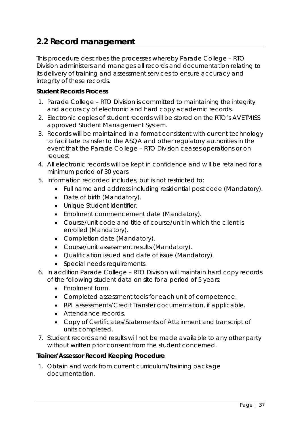## **2.2 Record management**

This procedure describes the processes whereby Parade College – RTO Division administers and manages all records and documentation relating to its delivery of training and assessment services to ensure accuracy and integrity of these records.

#### **Student Records Process**

- 1. Parade College RTO Division is committed to maintaining the integrity and accuracy of electronic and hard copy academic records.
- 2. Electronic copies of student records will be stored on the RTO's AVETMISS approved Student Management System.
- 3. Records will be maintained in a format consistent with current technology to facilitate transfer to the ASQA and other regulatory authorities in the event that the Parade College – RTO Division ceases operations or on request.
- 4. All electronic records will be kept in confidence and will be retained for a minimum period of 30 years.
- 5. Information recorded includes, but is not restricted to:
	- Full name and address including residential post code (Mandatory).
	- Date of birth (Mandatory).
	- Unique Student Identifier.
	- Enrolment commencement date (Mandatory).
	- Course/unit code and title of course/unit in which the client is enrolled (Mandatory).
	- Completion date (Mandatory).
	- Course/unit assessment results (Mandatory).
	- Qualification issued and date of issue (Mandatory).
	- Special needs requirements.
- 6. In addition Parade College RTO Division will maintain hard copy records of the following student data on site for a period of 5 years:
	- Enrolment form.
	- Completed assessment tools for each unit of competence.
	- RPL assessments/Credit Transfer documentation, if applicable.
	- Attendance records.
	- Copy of Certificates/Statements of Attainment and transcript of units completed.
- 7. Student records and results will not be made available to any other party without written prior consent from the student concerned.

#### **Trainer/Assessor Record Keeping Procedure**

1. Obtain and work from current curriculum/training package documentation.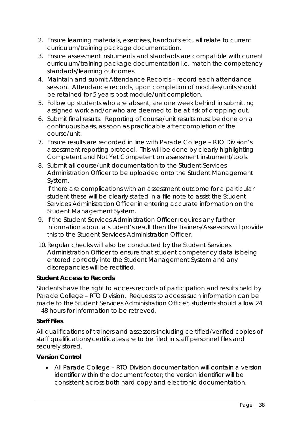- 2. Ensure learning materials, exercises, handouts etc. all relate to current curriculum/training package documentation.
- 3. Ensure assessment instruments and standards are compatible with current curriculum/training package documentation i.e. match the competency standards/learning outcomes.
- 4. Maintain and submit Attendance Records record each attendance session. Attendance records, upon completion of modules/units should be retained for 5 years post module/unit completion.
- 5. Follow up students who are absent, are one week behind in submitting assigned work and/or who are deemed to be at risk of dropping out.
- 6. Submit final results. Reporting of course/unit results must be done on a continuous basis, as soon as practicable after completion of the course/unit.
- 7. Ensure results are recorded in line with Parade College RTO Division's assessment reporting protocol. This will be done by clearly highlighting Competent and Not Yet Competent on assessment instrument/tools.
- 8. Submit all course/unit documentation to the Student Services Administration Officer to be uploaded onto the Student Management System.

If there are complications with an assessment outcome for a particular student these will be clearly stated in a file note to assist the Student Services Administration Officer in entering accurate information on the Student Management System.

- 9. If the Student Services Administration Officer requires any further information about a student's result then the Trainers/Assessors will provide this to the Student Services Administration Officer.
- 10.Regular checks will also be conducted by the Student Services Administration Officer to ensure that student competency data is being entered correctly into the Student Management System and any discrepancies will be rectified.

## **Student Access to Records**

Students have the right to access records of participation and results held by Parade College – RTO Division. Requests to access such information can be made to the Student Services Administration Officer, students should allow 24 – 48 hours for information to be retrieved.

#### **Staff Files**

All qualifications of trainers and assessors including certified/verified copies of staff qualifications/certificates are to be filed in staff personnel files and securely stored.

## **Version Control**

• All Parade College – RTO Division documentation will contain a version identifier within the document footer; the version identifier will be consistent across both hard copy and electronic documentation.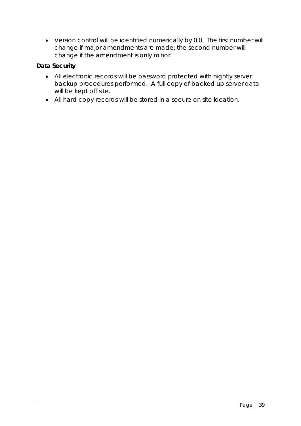• Version control will be identified numerically by 0.0. The first number will change if major amendments are made; the second number will change if the amendment is only minor.

## **Data Security**

- All electronic records will be password protected with nightly server backup procedures performed. A full copy of backed up server data will be kept off site.
- All hard copy records will be stored in a secure on site location.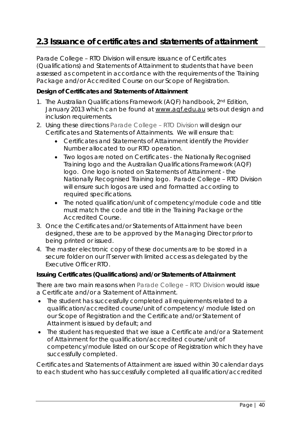## **2.3 Issuance of certificates and statements of attainment**

Parade College – RTO Division will ensure issuance of Certificates (Qualifications) and Statements of Attainment to students that have been assessed as competent in accordance with the requirements of the Training Package and/or Accredited Course on our Scope of Registration.

### **Design of Certificates and Statements of Attainment**

- 1. The *Australian Qualifications Framework (AQF) handbook, 2nd Edition, January 2013* which can be found at [www.aqf.edu.au](http://www.aqf.edu.au/) sets out design and inclusion requirements.
- 2. Using these directions Parade College RTO Division will design our Certificates and Statements of Attainments. We will ensure that:
	- Certificates and Statements of Attainment identify the Provider Number allocated to our RTO operation.
	- Two logos are noted on Certificates the Nationally Recognised Training logo and the Australian Qualifications Framework (AQF) logo. One logo is noted on Statements of Attainment - the Nationally Recognised Training logo. Parade College – RTO Division will ensure such logos are used and formatted according to required specifications.
	- The noted qualification/unit of competency/module code and title must match the code and title in the Training Package or the Accredited Course.
- 3. Once the Certificates and/or Statements of Attainment have been designed, these are to be approved by the Managing Director prior to being printed or issued.
- 4. The master electronic copy of these documents are to be stored in a secure folder on our IT server with limited access as delegated by the Executive Officer RTO.

#### **Issuing Certificates (Qualifications) and/or Statements of Attainment**

There are two main reasons when Parade College – RTO Division would issue a Certificate and/or a Statement of Attainment.

- The student has successfully completed all requirements related to a qualification/accredited course/unit of competency/ module listed on our Scope of Registration and the Certificate and/or Statement of Attainment is issued by default; and
- The student has requested that we issue a Certificate and/or a Statement of Attainment for the qualification/accredited course/unit of competency/module listed on our Scope of Registration which they have successfully completed.

Certificates and Statements of Attainment are issued within 30 calendar days to each student who has successfully completed all qualification/accredited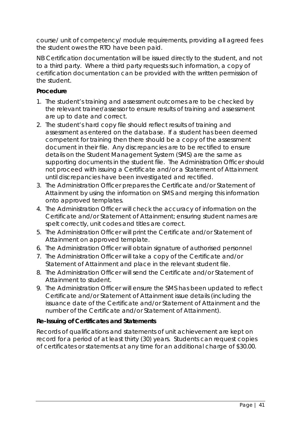course/ unit of competency/ module requirements, providing all agreed fees the student owes the RTO have been paid.

NB Certification documentation will be issued directly to the student, and not to a third party. Where a third party requests such information, a copy of certification documentation can be provided with the written permission of the student.

### **Procedure**

- 1. The student's training and assessment outcomes are to be checked by the relevant trainer/assessor to ensure results of training and assessment are up to date and correct.
- 2. The student's hard copy file should reflect results of training and assessment as entered on the database. If a student has been deemed competent for training then there should be a copy of the assessment document in their file. Any discrepancies are to be rectified to ensure details on the Student Management System (SMS) are the same as supporting documents in the student file. The Administration Officer should not proceed with issuing a Certificate and/or a Statement of Attainment until discrepancies have been investigated and rectified.
- 3. The Administration Officer prepares the Certificate and/or Statement of Attainment by using the information on SMS and merging this information onto approved templates.
- 4. The Administration Officer will check the accuracy of information on the Certificate and/or Statement of Attainment; ensuring student names are spelt correctly, unit codes and titles are correct.
- 5. The Administration Officer will print the Certificate and/or Statement of Attainment on approved template.
- 6. The Administration Officer will obtain signature of authorised personnel
- 7. The Administration Officer will take a copy of the Certificate and/or Statement of Attainment and place in the relevant student file.
- 8. The Administration Officer will send the Certificate and/or Statement of Attainment to student.
- 9. The Administration Officer will ensure the SMS has been updated to reflect Certificate and/or Statement of Attainment issue details (including the issuance date of the Certificate and/or Statement of Attainment and the number of the Certificate and/or Statement of Attainment).

## **Re-Issuing of Certificates and Statements**

Records of qualifications and statements of unit achievement are kept on record for a period of at least thirty (30) years. Students can request copies of certificates or statements at any time for an additional charge of \$30.00.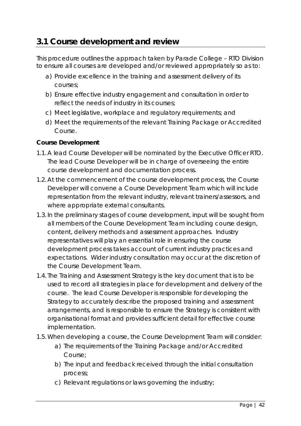## **3.1 Course development and review**

This procedure outlines the approach taken by Parade College – RTO Division to ensure all courses are developed and/or reviewed appropriately so as to:

- a) Provide excellence in the training and assessment delivery of its courses;
- b) Ensure effective industry engagement and consultation in order to reflect the needs of industry in its courses;
- c) Meet legislative, workplace and regulatory requirements; and
- d) Meet the requirements of the relevant Training Package or Accredited Course.

### **Course Development**

- 1.1. A lead Course Developer will be nominated by the Executive Officer RTO. The lead Course Developer will be in charge of overseeing the entire course development and documentation process.
- 1.2. At the commencement of the course development process, the Course Developer will convene a Course Development Team which will include representation from the relevant industry, relevant trainers/assessors, and where appropriate external consultants.
- 1.3. In the preliminary stages of course development, input will be sought from all members of the Course Development Team including course design, content, delivery methods and assessment approaches. Industry representatives will play an essential role in ensuring the course development process takes account of current industry practices and expectations. Wider industry consultation may occur at the discretion of the Course Development Team.
- 1.4. The Training and Assessment Strategy is the key document that is to be used to record all strategies in place for development and delivery of the course. The lead Course Developer is responsible for developing the Strategy to accurately describe the proposed training and assessment arrangements, and is responsible to ensure the Strategy is consistent with organisational format and provides sufficient detail for effective course implementation.
- 1.5.When developing a course, the Course Development Team will consider:
	- a) The requirements of the Training Package and/or Accredited Course;
	- b) The input and feedback received through the initial consultation process;
	- c) Relevant regulations or laws governing the industry;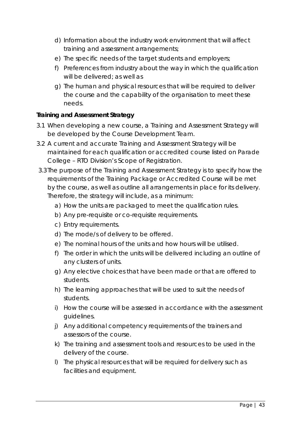- d) Information about the industry work environment that will affect training and assessment arrangements;
- e) The specific needs of the target students and employers;
- f) Preferences from industry about the way in which the qualification will be delivered; as well as
- g) The human and physical resources that will be required to deliver the course and the capability of the organisation to meet these needs.

### **Training and Assessment Strategy**

- 3.1 When developing a new course, a Training and Assessment Strategy will be developed by the Course Development Team.
- 3.2 A current and accurate Training and Assessment Strategy will be maintained for each qualification or accredited course listed on Parade College – RTO Division's Scope of Registration.
- 3.3The purpose of the Training and Assessment Strategy is to specify how the requirements of the Training Package or Accredited Course will be met by the course, as well as outline all arrangements in place for its delivery. Therefore, the strategy will include, as a minimum:
	- a) How the units are packaged to meet the qualification rules.
	- b) Any pre-requisite or co-requisite requirements.
	- c) Entry requirements.
	- d) The mode/s of delivery to be offered.
	- e) The nominal hours of the units and how hours will be utilised.
	- f) The order in which the units will be delivered including an outline of any clusters of units.
	- g) Any elective choices that have been made or that are offered to students.
	- h) The learning approaches that will be used to suit the needs of students.
	- i) How the course will be assessed in accordance with the assessment guidelines.
	- j) Any additional competency requirements of the trainers and assessors of the course.
	- k) The training and assessment tools and resources to be used in the delivery of the course.
	- l) The physical resources that will be required for delivery such as facilities and equipment.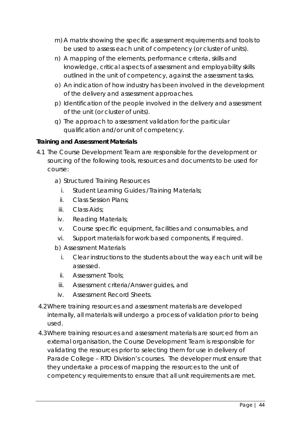- m) A matrix showing the specific assessment requirements and tools to be used to assess each unit of competency (or cluster of units).
- n) A mapping of the elements, performance criteria, skills and knowledge, critical aspects of assessment and employability skills outlined in the unit of competency, against the assessment tasks.
- o) An indication of how industry has been involved in the development of the delivery and assessment approaches.
- p) Identification of the people involved in the delivery and assessment of the unit (or cluster of units).
- q) The approach to assessment validation for the particular qualification and/or unit of competency.

## **Training and Assessment Materials**

- 4.1 The Course Development Team are responsible for the development or sourcing of the following tools, resources and documents to be used for course:
	- a) Structured Training Resources
		- i. Student Learning Guides /Training Materials;
		- ii. Class Session Plans;
		- iii. Class Aids;
	- iv. Reading Materials;
	- v. Course specific equipment, facilities and consumables, and
	- vi. Support materials for work based components, if required.
	- b) Assessment Materials
		- i. Clear instructions to the students about the way each unit will be assessed.
		- ii. Assessment Tools;
		- iii. Assessment criteria/Answer guides, and
		- iv. Assessment Record Sheets.
- 4.2Where training resources and assessment materials are developed internally, all materials will undergo a process of validation prior to being used.
- 4.3Where training resources and assessment materials are sourced from an external organisation, the Course Development Team is responsible for validating the resources prior to selecting them for use in delivery of Parade College – RTO Division's courses. The developer must ensure that they undertake a process of mapping the resources to the unit of competency requirements to ensure that all unit requirements are met.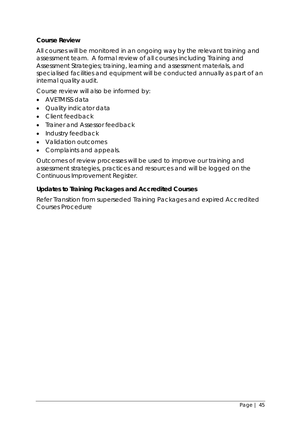### **Course Review**

All courses will be monitored in an ongoing way by the relevant training and assessment team. A formal review of all courses including Training and Assessment Strategies; training, learning and assessment materials, and specialised facilities and equipment will be conducted annually as part of an internal quality audit.

Course review will also be informed by:

- AVETMISS data
- Quality indicator data
- Client feedback
- Trainer and Assessor feedback
- Industry feedback
- Validation outcomes
- Complaints and appeals.

Outcomes of review processes will be used to improve our training and assessment strategies, practices and resources and will be logged on the Continuous Improvement Register.

#### **Updates to Training Packages and Accredited Courses**

Refer Transition from superseded Training Packages and expired Accredited Courses Procedure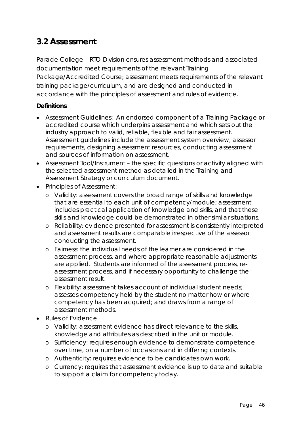## **3.2 Assessment**

Parade College – RTO Division ensures assessment methods and associated documentation meet requirements of the relevant Training Package/Accredited Course; assessment meets requirements of the relevant training package/curriculum, and are designed and conducted in accordance with the principles of assessment and rules of evidence.

### **Definitions**

- Assessment Guidelines: An endorsed component of a Training Package or accredited course which underpins assessment and which sets out the industry approach to valid, reliable, flexible and fair assessment. Assessment guidelines include the assessment system overview, assessor requirements, designing assessment resources, conducting assessment and sources of information on assessment.
- Assessment Tool/Instrument the specific questions or activity aligned with the selected assessment method as detailed in the Training and Assessment Strategy or curriculum document.
- Principles of Assessment:
	- o Validity: assessment covers the broad range of skills and knowledge that are essential to each unit of competency/module; assessment includes practical application of knowledge and skills, and that these skills and knowledge could be demonstrated in other similar situations.
	- o Reliability: evidence presented for assessment is consistently interpreted and assessment results are comparable irrespective of the assessor conducting the assessment.
	- o Fairness: the individual needs of the learner are considered in the assessment process, and where appropriate reasonable adjustments are applied. Students are informed of the assessment process, reassessment process, and if necessary opportunity to challenge the assessment result.
	- o Flexibility: assessment takes account of individual student needs; assesses competency held by the student no matter how or where competency has been acquired; and draws from a range of assessment methods.
- Rules of Evidence
	- o Validity: assessment evidence has direct relevance to the skills, knowledge and attributes as described in the unit or module.
	- o Sufficiency: requires enough evidence to demonstrate competence over time, on a number of occasions and in differing contexts.
	- o Authenticity: requires evidence to be candidates own work.
	- o Currency: requires that assessment evidence is up to date and suitable to support a claim for competency today.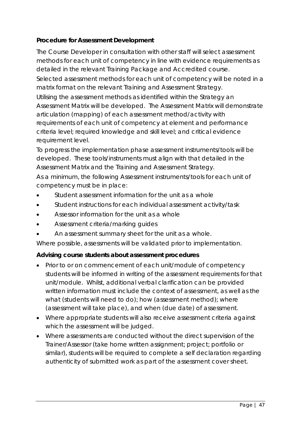## **Procedure for Assessment Development**

The Course Developer in consultation with other staff will select assessment methods for each unit of competency in line with evidence requirements as detailed in the relevant Training Package and Accredited course. Selected assessment methods for each unit of competency will be noted in a matrix format on the relevant Training and Assessment Strategy.

Utilising the assessment methods as identified within the Strategy an Assessment Matrix will be developed. The Assessment Matrix will demonstrate articulation (mapping) of each assessment method/activity with requirements of each unit of competency at element and performance criteria level; required knowledge and skill level; and critical evidence requirement level.

To progress the implementation phase assessment instruments/tools will be developed. These tools/instruments must align with that detailed in the Assessment Matrix and the Training and Assessment Strategy.

As a minimum, the following Assessment instruments/tools for each unit of competency must be in place:

- Student assessment information for the unit as a whole
- Student instructions for each individual assessment activity/task
- Assessor information for the unit as a whole
- Assessment criteria/marking guides
- An assessment summary sheet for the unit as a whole.

Where possible, assessments will be validated prior to implementation.

## **Advising course students about assessment procedures**

- Prior to or on commencement of each unit/module of competency students will be informed in writing of the assessment requirements for that unit/module. Whilst, additional verbal clarification can be provided written information must include the context of assessment, as well as the what (students will need to do); how (assessment method); where (assessment will take place), and when (due date) of assessment.
- Where appropriate students will also receive assessment criteria against which the assessment will be judged.
- Where assessments are conducted without the direct supervision of the Trainer/Assessor (take home written assignment; project; portfolio or similar), students will be required to complete a self declaration regarding authenticity of submitted work as part of the assessment cover sheet.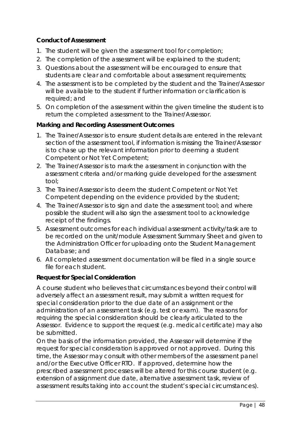## **Conduct of Assessment**

- 1. The student will be given the assessment tool for completion;
- 2. The completion of the assessment will be explained to the student;
- 3. Questions about the assessment will be encouraged to ensure that students are clear and comfortable about assessment requirements;
- 4. The assessment is to be completed by the student and the Trainer/Assessor will be available to the student if further information or clarification is required; and
- 5. On completion of the assessment within the given timeline the student is to return the completed assessment to the Trainer/Assessor.

#### **Marking and Recording Assessment Outcomes**

- 1. The Trainer/Assessor is to ensure student details are entered in the relevant section of the assessment tool, if information is missing the Trainer/Assessor is to chase up the relevant information prior to deeming a student Competent or Not Yet Competent;
- 2. The Trainer/Assessor is to mark the assessment in conjunction with the assessment criteria and/or marking guide developed for the assessment tool;
- 3. The Trainer/Assessor is to deem the student Competent or Not Yet Competent depending on the evidence provided by the student;
- 4. The Trainer/Assessor is to sign and date the assessment tool; and where possible the student will also sign the assessment tool to acknowledge receipt of the findings.
- 5. Assessment outcomes for each individual assessment activity/task are to be recorded on the unit/module Assessment Summary Sheet and given to the Administration Officer for uploading onto the Student Management Database; and
- 6. All completed assessment documentation will be filed in a single source file for each student.

## **Request for Special Consideration**

A course student who believes that circumstances beyond their control will adversely affect an assessment result, may submit a written request for special consideration prior to the due date of an assignment or the administration of an assessment task (e.g. test or exam). The reasons for requiring the special consideration should be clearly articulated to the Assessor. Evidence to support the request (e.g. medical certificate) may also be submitted.

On the basis of the information provided, the Assessor will determine if the request for special consideration is approved or not approved. During this time, the Assessor may consult with other members of the assessment panel and/or the Executive Officer RTO. If approved, determine how the prescribed assessment processes will be altered for this course student (e.g. extension of assignment due date, alternative assessment task, review of assessment results taking into account the student's special circumstances).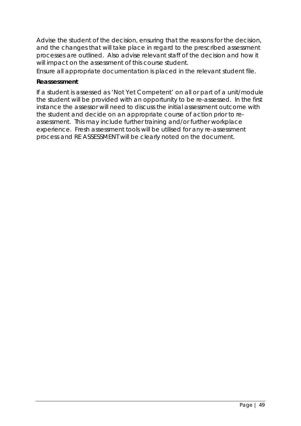Advise the student of the decision, ensuring that the reasons for the decision, and the changes that will take place in regard to the prescribed assessment processes are outlined. Also advise relevant staff of the decision and how it will impact on the assessment of this course student.

Ensure all appropriate documentation is placed in the relevant student file.

#### **Reassessment**

If a student is assessed as 'Not Yet Competent' on all or part of a unit/module the student will be provided with an opportunity to be re-assessed. In the first instance the assessor will need to discuss the initial assessment outcome with the student and decide on an appropriate course of action prior to reassessment. This may include further training and/or further workplace experience. Fresh assessment tools will be utilised for any re-assessment process and RE ASSESSMENT will be clearly noted on the document.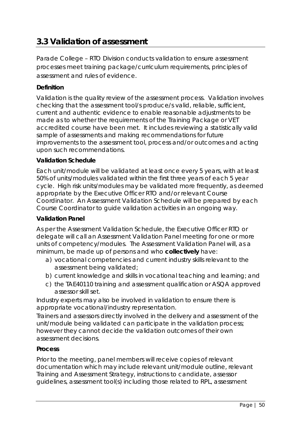## **3.3 Validation of assessment**

Parade College – RTO Division conducts validation to ensure assessment processes meet training package/curriculum requirements, principles of assessment and rules of evidence.

### **Definition**

Validation is the quality review of the assessment process. Validation involves checking that the assessment tool/s produce/s valid, reliable, sufficient, current and authentic evidence to enable reasonable adjustments to be made as to whether the requirements of the Training Package or VET accredited course have been met. It includes reviewing a statistically valid sample of assessments and making recommendations for future improvements to the assessment tool, process and/or outcomes and acting upon such recommendations.

#### **Validation Schedule**

Each unit/module will be validated at least once every 5 years, with at least 50% of units/modules validated within the first three years of each 5 year cycle. High risk units/modules may be validated more frequently, as deemed appropriate by the Executive Officer RTO and/or relevant Course Coordinator. An Assessment Validation Schedule will be prepared by each Course Coordinator to guide validation activities in an ongoing way.

#### **Validation Panel**

As per the Assessment Validation Schedule, the Executive Officer RTO or delegate will call an Assessment Validation Panel meeting for one or more units of competency/modules. The Assessment Validation Panel will, as a minimum, be made up of persons and who *collectively* have:

- a) vocational competencies and current industry skills relevant to the assessment being validated;
- b) current knowledge and skills in vocational teaching and learning; and
- c) the TAE40110 training and assessment qualification or ASQA approved assessor skill set.

Industry experts may also be involved in validation to ensure there is appropriate vocational/industry representation.

Trainers and assessors directly involved in the delivery and assessment of the unit/module being validated can participate in the validation process; however they cannot decide the validation outcomes of their own assessment decisions.

#### **Process**

Prior to the meeting, panel members will receive copies of relevant documentation which may include relevant unit/module outline, relevant Training and Assessment Strategy, instructions to candidate, assessor guidelines, assessment tool(s) including those related to RPL, assessment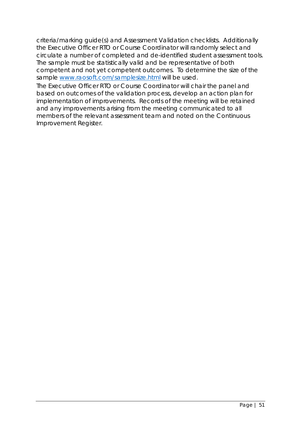criteria/marking guide(s) and Assessment Validation checklists. Additionally the Executive Officer RTO or Course Coordinator will randomly select and circulate a number of completed and de-identified student assessment tools. The sample must be statistically valid and be representative of both competent and not yet competent outcomes. To determine the size of the sample [www.raosoft.com/samplesize.html](http://www.raosoft.com/samplesize.html) will be used.

The Executive Officer RTO or Course Coordinator will chair the panel and based on outcomes of the validation process, develop an action plan for implementation of improvements. Records of the meeting will be retained and any improvements arising from the meeting communicated to all members of the relevant assessment team and noted on the Continuous Improvement Register.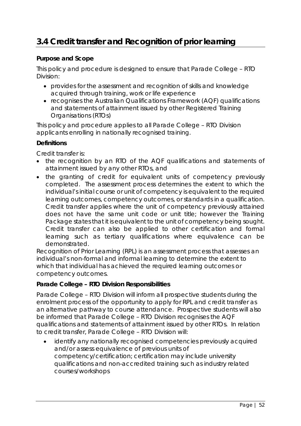# **3.4 Credit transfer and Recognition of prior learning**

### **Purpose and Scope**

This policy and procedure is designed to ensure that Parade College – RTO Division:

- provides for the assessment and recognition of skills and knowledge acquired through training, work or life experience
- recognises the Australian Qualifications Framework (AQF) qualifications and statements of attainment issued by other Registered Training Organisations (RTOs)

This policy and procedure applies to all Parade College – RTO Division applicants enrolling in nationally recognised training.

#### **Definitions**

Credit transfer is:

- the recognition by an RTO of the AQF qualifications and statements of attainment issued by any other RTOs, and
- the granting of credit for equivalent units of competency previously completed. The assessment process determines the extent to which the individual's initial course or unit of competency is equivalent to the required learning outcomes, competency outcomes, or standards in a qualification. Credit transfer applies where the unit of competency previously attained does not have the same unit code or unit title; however the Training Package states that it is equivalent to the unit of competency being sought. Credit transfer can also be applied to other certification and formal learning such as tertiary qualifications where equivalence can be demonstrated.

Recognition of Prior Learning (RPL) is an assessment process that assesses an individual's non-formal and informal learning to determine the extent to which that individual has achieved the required learning outcomes or competency outcomes.

#### **Parade College – RTO Division Responsibilities**

Parade College – RTO Division will inform all prospective students during the enrolment process of the opportunity to apply for RPL and credit transfer as an alternative pathway to course attendance. Prospective students will also be informed that Parade College – RTO Division recognises the AQF qualifications and statements of attainment issued by other RTOs. In relation to credit transfer, Parade College – RTO Division will:

identify any nationally recognised competencies previously acquired and/or assess equivalence of previous units of competency/certification; certification may include university qualifications and non-accredited training such as industry related courses/workshops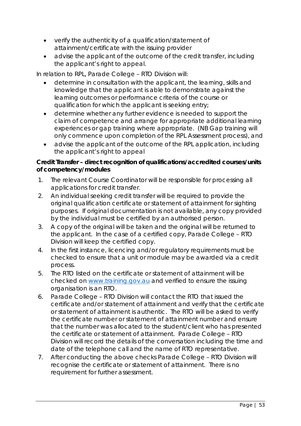- verify the authenticity of a qualification/statement of attainment/certificate with the issuing provider
- advise the applicant of the outcome of the credit transfer, including the applicant's right to appeal.

In relation to RPL, Parade College – RTO Division will:

- determine in consultation with the applicant, the learning, skills and knowledge that the applicant is able to demonstrate against the learning outcomes or performance criteria of the course or qualification for which the applicant is seeking entry;
- determine whether any further evidence is needed to support the claim of competence and arrange for appropriate additional learning experiences or gap training where appropriate. (NB Gap training will only commence upon completion of the RPL Assessment process), and
- advise the applicant of the outcome of the RPL application, including the applicant's right to appeal

## **Credit Transfer – direct recognition of qualifications/accredited courses/units of competency/modules**

- 1. The relevant Course Coordinator will be responsible for processing all applications for credit transfer.
- 2. An individual seeking credit transfer will be required to provide the original qualification certificate or statement of attainment for sighting purposes. If original documentation is not available, any copy provided by the individual must be *certified* by *an autho*rised person.
- 3. A copy of the original will be taken and the original will be returned to the applicant. In the case of a certified copy, Parade College – RTO Division will keep the certified copy.
- 4. In the first instance, licencing and/or regulatory requirements must be checked to ensure that a unit or module may be awarded via a credit process.
- 5. The RTO listed on the certificate or statement of attainment will be checked on [www.training.gov.au](http://www.training.gov.au/) and verified to ensure the issuing organisation is an RTO.
- 6. Parade College RTO Division will contact the RTO that issued the certificate and/or statement of attainment and verify that the certificate or statement of attainment is authentic. The RTO will be asked to verify the certificate number or statement of attainment number and ensure that the number was allocated to the student/client who has presented the certificate or statement of attainment. Parade College – RTO Division will record the details of the conversation including the time and date of the telephone call and the name of RTO representative.
- 7. After conducting the above checks Parade College RTO Division will recognise the certificate or statement of attainment. There is no requirement for further assessment.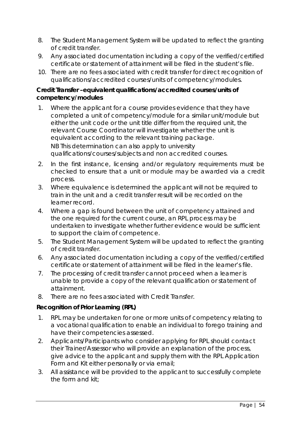- 8. The Student Management System will be updated to reflect the granting of credit transfer.
- 9. Any associated documentation including a copy of the verified/certified certificate or statement of attainment will be filed in the student's file.
- 10. There are no fees associated with credit transfer for direct recognition of qualifications/accredited courses/units of competency/modules.

### **Credit Transfer –equivalent qualifications/accredited courses/units of competency/modules**

- 1. Where the applicant for a course provides evidence that they have completed a unit of competency/module for a similar unit/module but either the unit code or the unit title differ from the required unit, the relevant Course Coordinator will investigate whether the unit is equivalent according to the relevant training package. NB This determination can also apply to university qualifications/courses/subjects and non accredited courses.
- 2. In the first instance, licensing and/or regulatory requirements must be checked to ensure that a unit or module may be awarded via a credit process.
- 3. Where equivalence is determined the applicant will not be required to train in the unit and a credit transfer result will be recorded on the learner record.
- 4. Where a gap is found between the unit of competency attained and the one required for the current course, an RPL process may be undertaken to investigate whether further evidence would be sufficient to support the claim of competence.
- 5. The Student Management System will be updated to reflect the granting of credit transfer.
- 6. Any associated documentation including a copy of the verified/certified certificate or statement of attainment will be filed in the learner's file.
- 7. The processing of credit transfer cannot proceed when a learner is unable to provide a copy of the relevant qualification or statement of attainment.
- 8. There are no fees associated with Credit Transfer.

#### **Recognition of Prior Learning (RPL)**

- 1. RPL may be undertaken for one or more units of competency relating to a vocational qualification to enable an individual to forego training and have their competencies assessed.
- 2. Applicants/Participants who consider applying for RPL should contact their Trainer/Assessor who will provide an explanation of the process, give advice to the applicant and supply them with the RPL Application Form and Kit either personally or via email;
- 3. All assistance will be provided to the applicant to successfully complete the form and kit;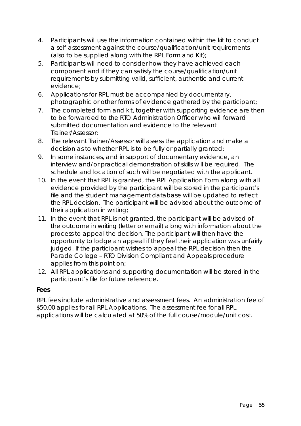- 4. Participants will use the information contained within the kit to conduct a self-assessment against the course/qualification/unit requirements (also to be supplied along with the RPL Form and Kit);
- 5. Participants will need to consider how they have achieved each component and if they can satisfy the course/qualification/unit requirements by submitting valid, sufficient, authentic and current evidence;
- 6. Applications for RPL must be accompanied by documentary, photographic or other forms of evidence gathered by the participant;
- 7. The completed form and kit, together with supporting evidence are then to be forwarded to the RTO Administration Officer who will forward submitted documentation and evidence to the relevant Trainer/Assessor;
- 8. The relevant Trainer/Assessor will assess the application and make a decision as to whether RPL is to be fully or partially granted;
- 9. In some instances, and in support of documentary evidence, an interview and/or practical demonstration of skills will be required. The schedule and location of such will be negotiated with the applicant.
- 10. In the event that RPL is granted, the RPL Application Form along with all evidence provided by the participant will be stored in the participant's file and the student management database will be updated to reflect the RPL decision. The participant will be advised about the outcome of their application in writing;
- 11. In the event that RPL is not granted, the participant will be advised of the outcome in writing (letter or email) along with information about the process to appeal the decision. The participant will then have the opportunity to lodge an appeal if they feel their application was unfairly judged. If the participant wishes to appeal the RPL decision then the Parade College – RTO Division Compliant and Appeals procedure applies from this point on;
- 12. All RPL applications and supporting documentation will be stored in the participant's file for future reference.

## **Fees**

RPL fees include administrative and assessment fees. An administration fee of \$50.00 applies for all RPL Applications. The assessment fee for all RPL applications will be calculated at 50% of the full course/module/unit cost.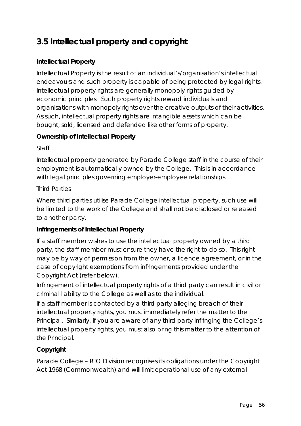# **3.5 Intellectual property and copyright**

## **Intellectual Property**

Intellectual Property is the result of an individual's/organisation's intellectual endeavours and such property is capable of being protected by legal rights. Intellectual property rights are generally monopoly rights guided by economic principles. Such property rights reward individuals and organisations with monopoly rights over the creative outputs of their activities. As such, intellectual property rights are intangible assets which can be bought, sold, licensed and defended like other forms of property.

### **Ownership of Intellectual Property**

#### *Staff*

Intellectual property generated by Parade College staff in the course of their employment is automatically owned by the College. This is in accordance with legal principles governing employer-employee relationships.

#### *Third Parties*

Where third parties utilise Parade College intellectual property, such use will be limited to the work of the College and shall not be disclosed or released to another party.

## **Infringements of Intellectual Property**

If a staff member wishes to use the intellectual property owned by a third party, the staff member must ensure they have the right to do so. This right may be by way of permission from the owner, a licence agreement, or in the case of copyright exemptions from infringements provided under the Copyright Act (refer below).

Infringement of intellectual property rights of a third party can result in civil or criminal liability to the College as well as to the individual.

If a staff member is contacted by a third party alleging breach of their intellectual property rights, you must immediately refer the matter to the Principal. Similarly, if you are aware of any third party infringing the College's intellectual property rights, you must also bring this matter to the attention of the Principal.

## **Copyright**

Parade College – RTO Division recognises its obligations under the *Copyright Act 1968 (Commonwealth)* and will limit operational use of any external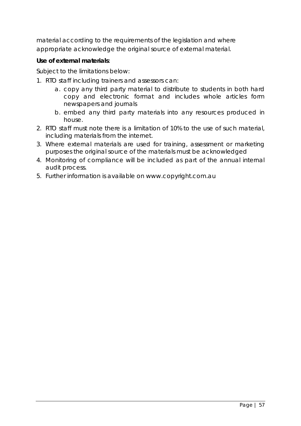material according to the requirements of the legislation and where appropriate acknowledge the original source of external material.

## **Use of external materials**:

Subject to the limitations below:

- 1. RTO staff including trainers and assessors can:
	- a. copy any third party material to distribute to students in both hard copy and electronic format and includes whole articles form newspapers and journals
	- b. embed any third party materials into any resources produced in house.
- 2. RTO staff must note there is a limitation of 10% to the use of such material, including materials from the internet.
- 3. Where external materials are used for training, assessment or marketing purposes the original source of the materials must be acknowledged
- 4. Monitoring of compliance will be included as part of the annual internal audit process.
- 5. Further information is available on www.copyright.com.au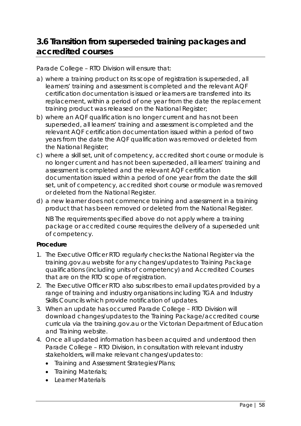## **3.6 Transition from superseded training packages and accredited courses**

Parade College – RTO Division will ensure that:

- a) where a training product on its scope of registration is superseded, all learners' training and assessment is completed and the relevant AQF certification documentation is issued or learners are transferred into its replacement, within a period of *one year* from the date the replacement training product was released on the National Register;
- b) where an AQF qualification is no longer current and has not been superseded, all learners' training and assessment is completed and the relevant AQF certification documentation issued within a period of *two years* from the date the AQF qualification was removed or deleted from the National Register;
- c) where a skill set, unit of competency, accredited short course or module is no longer current and has not been superseded, all learners' training and assessment is completed and the relevant AQF certification documentation issued within a period of *one year* from the date the skill set, unit of competency, accredited short course or module was removed or deleted from the National Register.
- d) a new learner does not commence training and assessment in a training product that has been removed or deleted from the National Register.

NB The requirements specified above do not apply where a training package or accredited course requires the delivery of a superseded unit of competency.

#### **Procedure**

- 1. The Executive Officer RTO regularly checks the National Register via the training.gov.au website for any changes/updates to Training Package qualifications (including units of competency) and Accredited Courses that are on the RTO scope of registration.
- 2. The Executive Officer RTO also subscribes to email updates provided by a range of training and industry organisations including TGA and Industry Skills Councils which provide notification of updates.
- 3. When an update has occurred Parade College RTO Division will download changes/updates to the Training Package/accredited course curricula via the training.gov.au or the Victorian Department of Education and Training website.
- 4. Once all updated information has been acquired and understood then Parade College – RTO Division, in consultation with relevant industry stakeholders, will make relevant changes/updates to:
	- Training and Assessment Strategies/Plans;
	- Training Materials;
	- Learner Materials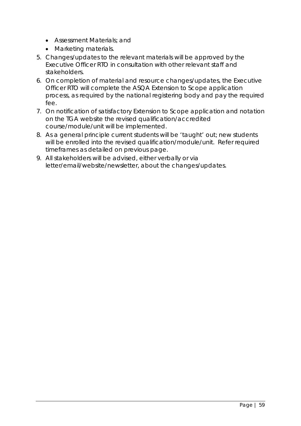- Assessment Materials; and
- Marketing materials.
- 5. Changes/updates to the relevant materials will be approved by the Executive Officer RTO in consultation with other relevant staff and stakeholders.
- 6. On completion of material and resource changes/updates, the Executive Officer RTO will complete the ASQA Extension to Scope application process, as required by the national registering body and pay the required fee.
- 7. On notification of satisfactory Extension to Scope application and notation on the TGA website the revised qualification/accredited course/module/unit will be implemented.
- 8. As a general principle current students will be 'taught' out; new students will be enrolled into the revised qualification/module/unit. Refer required timeframes as detailed on previous page.
- 9. All stakeholders will be advised, either verbally or via letter/email/website/newsletter, about the changes/updates.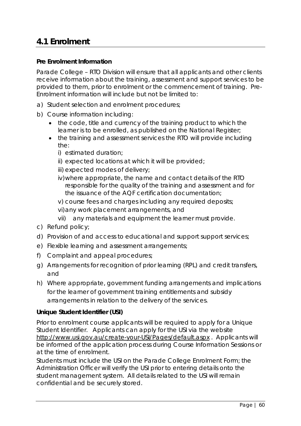## **4.1 Enrolment**

### **Pre Enrolment Information**

Parade College – RTO Division will ensure that all applicants and other clients receive information about the training, assessment and support services to be provided to them, prior to enrolment or the commencement of training. Pre-Enrolment information will include but not be limited to:

- a) Student selection and enrolment procedures;
- b) Course information including:
	- the code, title and currency of the training product to which the learner is to be enrolled, as published on the National Register;
	- the training and assessment services the RTO will provide including the:
		- i) estimated duration;
		- ii) expected locations at which it will be provided;
		- iii) expected modes of delivery;
		- iv)where appropriate, the name and contact details of the RTO responsible for the quality of the training and assessment and for the issuance of the AQF certification documentation;
		- v) course fees and charges including any required deposits;
		- vi)any work placement arrangements, and
		- vii) any materials and equipment the learner must provide.
- c) Refund policy;
- d) Provision of and access to educational and support support services;
- e) Flexible learning and assessment arrangements;
- f) Complaint and appeal procedures;
- g) Arrangements for recognition of prior learning (RPL) and credit transfers, and
- h) Where appropriate, government funding arrangements and implications for the learner of government training entitlements and subsidy arrangements in relation to the delivery of the services.

#### **Unique Student Identifier (USI)**

Prior to enrolment course applicants will be required to apply for a Unique Student Identifier. Applicants can apply for the USI via the website <http://www.usi.gov.au/create-your-USI/Pages/default.aspx> . Applicants will be informed of the application process during Course Information Sessions or at the time of enrolment.

Students must include the USI on the Parade College Enrolment Form; the Administration Officer will verify the USI prior to entering details onto the student management system. All details related to the USI will remain confidential and be securely stored.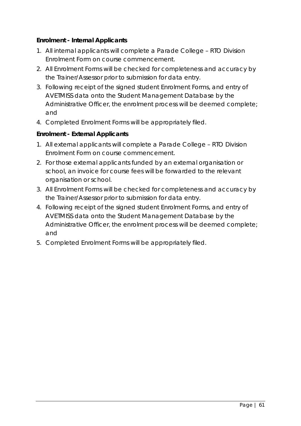## **Enrolment - Internal Applicants**

- 1. All internal applicants will complete a Parade College RTO Division Enrolment Form on course commencement.
- 2. All Enrolment Forms will be checked for completeness and accuracy by the Trainer/Assessor prior to submission for data entry.
- 3. Following receipt of the signed student Enrolment Forms, and entry of AVETMISS data onto the Student Management Database by the Administrative Officer, the enrolment process will be deemed complete; and
- 4. Completed Enrolment Forms will be appropriately filed.

## **Enrolment - External Applicants**

- 1. All external applicants will complete a Parade College RTO Division Enrolment Form on course commencement.
- 2. For those external applicants funded by an external organisation or school, an invoice for course fees will be forwarded to the relevant organisation or school.
- 3. All Enrolment Forms will be checked for completeness and accuracy by the Trainer/Assessor prior to submission for data entry.
- 4. Following receipt of the signed student Enrolment Forms, and entry of AVETMISS data onto the Student Management Database by the Administrative Officer, the enrolment process will be deemed complete; and
- 5. Completed Enrolment Forms will be appropriately filed.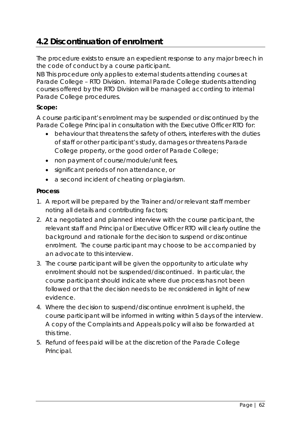## **4.2 Discontinuation of enrolment**

The procedure exists to ensure an expedient response to any major breech in the code of conduct by a course participant.

NB This procedure only applies to external students attending courses at Parade College – RTO Division. Internal Parade College students attending courses offered by the RTO Division will be managed according to internal Parade College procedures.

## **Scope:**

A course participant's enrolment may be suspended or discontinued by the Parade College Principal in consultation with the Executive Officer RTO for:

- behaviour that threatens the safety of others, interferes with the duties of staff or other participant's study, damages or threatens Parade College property, or the good order of Parade College;
- non payment of course/module/unit fees,
- significant periods of non attendance, or
- a second incident of cheating or plagiarism.

## **Process**

- 1. A report will be prepared by the Trainer and/or relevant staff member noting all details and contributing factors;
- 2. At a negotiated and planned interview with the course participant, the relevant staff and Principal or Executive Officer RTO will clearly outline the background and rationale for the decision to suspend or discontinue enrolment. The course participant may choose to be accompanied by an advocate to this interview.
- 3. The course participant will be given the opportunity to articulate why enrolment should not be suspended/discontinued. In particular, the course participant should indicate where due process has not been followed or that the decision needs to be reconsidered in light of new evidence.
- 4. Where the decision to suspend/discontinue enrolment is upheld, the course participant will be informed in writing within 5 days of the interview. A copy of the Complaints and Appeals policy will also be forwarded at this time.
- 5. Refund of fees paid will be at the discretion of the Parade College Principal.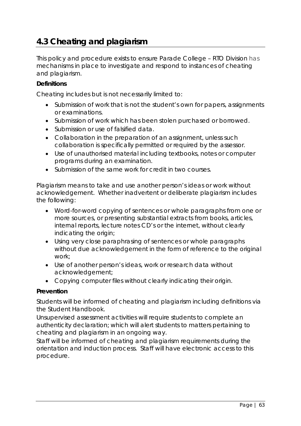## **4.3 Cheating and plagiarism**

This policy and procedure exists to ensure Parade College – RTO Division has mechanisms in place to investigate and respond to instances of cheating and plagiarism.

#### **Definitions**

*Cheating includes but is not necessarily limited to:*

- Submission of work that is not the student's own for papers, assignments or examinations.
- Submission of work which has been stolen purchased or borrowed.
- Submission or use of falsified data.
- Collaboration in the preparation of an assignment, unless such collaboration is specifically permitted or required by the assessor.
- Use of unauthorised material including textbooks, notes or computer programs during an examination.
- Submission of the same work for credit in two courses.

*Plagiarism means to take and use another person's ideas or work without acknowledgement.* Whether inadvertent or deliberate plagiarism includes the following:

- Word-for-word copying of sentences or whole paragraphs from one or more sources, or presenting substantial extracts from books, articles, internal reports, lecture notes CD's or the internet, without clearly indicating the origin;
- Using very close paraphrasing of sentences or whole paragraphs without due acknowledgement in the form of reference to the original work;
- Use of another person's ideas, work or research data without acknowledgement;
- Copying computer files without clearly indicating their origin.

#### **Prevention**

Students will be informed of cheating and plagiarism including definitions via the Student Handbook.

Unsupervised assessment activities will require students to complete an authenticity declaration; which will alert students to matters pertaining to cheating and plagiarism in an ongoing way.

Staff will be informed of cheating and plagiarism requirements during the orientation and induction process. Staff will have electronic access to this procedure.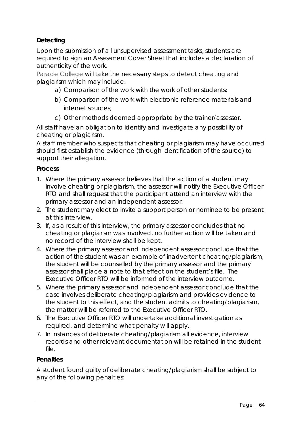## **Detecting**

Upon the submission of all unsupervised assessment tasks, students are required to sign an Assessment Cover Sheet that includes a declaration of authenticity of the work.

Parade College will take the necessary steps to detect cheating and plagiarism which may include:

- a) Comparison of the work with the work of other students;
- b) Comparison of the work with electronic reference materials and internet sources;
- c) Other methods deemed appropriate by the trainer/assessor.

All staff have an obligation to identify and investigate any possibility of cheating or plagiarism.

A staff member who suspects that cheating or plagiarism may have occurred should first establish the evidence (through identification of the source) to support their allegation.

#### **Process**

- 1. Where the primary assessor believes that the action of a student may involve cheating or plagiarism, the assessor will notify the Executive Officer RTO and shall request that the participant attend an interview with the primary assessor and an independent assessor.
- 2. The student may elect to invite a support person or nominee to be present at this interview.
- 3. If, as a result of this interview, the primary assessor concludes that no cheating or plagiarism was involved, no further action will be taken and no record of the interview shall be kept.
- 4. Where the primary assessor and independent assessor conclude that the action of the student was an example of inadvertent cheating/plagiarism, the student will be counselled by the primary assessor and the primary assessor shall place a note to that effect on the student's file. The Executive Officer RTO will be informed of the interview outcome.
- 5. Where the primary assessor and independent assessor conclude that the case involves deliberate cheating/plagiarism and provides evidence to the student to this effect, and the student admits to cheating/plagiarism, the matter will be referred to the Executive Officer RTO.
- 6. The Executive Officer RTO will undertake additional investigation as required, and determine what penalty will apply.
- 7. In instances of deliberate cheating/plagiarism all evidence, interview records and other relevant documentation will be retained in the student file.

## **Penalties**

A student found guilty of deliberate cheating/plagiarism shall be subject to any of the following penalties: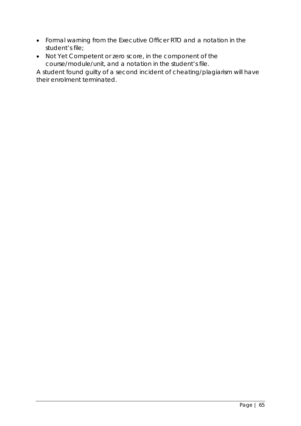- Formal warning from the Executive Officer RTO and a notation in the student's file;
- Not Yet Competent or zero score, in the component of the course/module/unit, and a notation in the student's file.

A student found guilty of a second incident of cheating/plagiarism will have their enrolment terminated.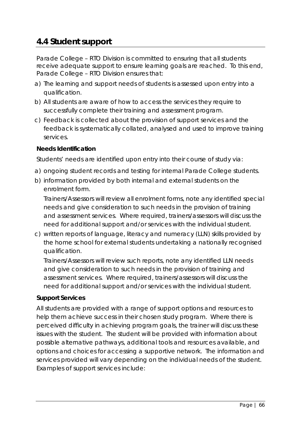## **4.4 Student support**

Parade College – RTO Division is committed to ensuring that all students receive adequate support to ensure learning goals are reached. To this end, Parade College – RTO Division ensures that:

- a) The learning and support needs of students is assessed upon entry into a qualification.
- b) All students are aware of how to access the services they require to successfully complete their training and assessment program.
- c) Feedback is collected about the provision of support services and the feedback is systematically collated, analysed and used to improve training services.

## **Needs Identification**

Students' needs are identified upon entry into their course of study via:

- a) ongoing student records and testing for internal Parade College students.
- b) information provided by both internal and external students on the enrolment form.

Trainers/Assessors will review all enrolment forms, note any identified special needs and give consideration to such needs in the provision of training and assessment services. Where required, trainers/assessors will discuss the need for additional support and/or services with the individual student.

c) written reports of language, literacy and numeracy (LLN) skills provided by the home school for external students undertaking a nationally recognised qualification.

Trainers/Assessors will review such reports, note any identified LLN needs and give consideration to such needs in the provision of training and assessment services. Where required, trainers/assessors will discuss the need for additional support and/or services with the individual student.

#### **Support Services**

All students are provided with a range of support options and resources to help them achieve success in their chosen study program. Where there is perceived difficulty in achieving program goals, the trainer will discuss these issues with the student. The student will be provided with information about possible alternative pathways, additional tools and resources available, and options and choices for accessing a supportive network. The information and services provided will vary depending on the individual needs of the student. Examples of support services include: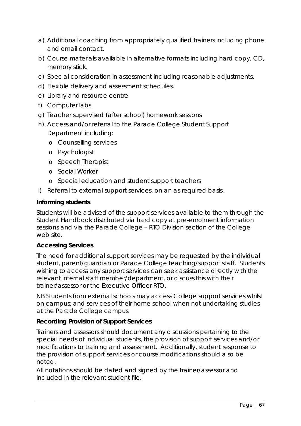- a) Additional coaching from appropriately qualified trainers including phone and email contact.
- b) Course materials available in alternative formats including hard copy, CD, memory stick.
- c) Special consideration in assessment including reasonable adjustments.
- d) Flexible delivery and assessment schedules.
- e) Library and resource centre
- f) Computer labs
- g) Teacher supervised (after school) homework sessions
- h) Access and/or referral to the Parade College Student Support Department including:
	- o Counselling services
	- o Psychologist
	- o Speech Therapist
	- o Social Worker
	- o Special education and student support teachers
- i) Referral to external support services, on an as required basis.

#### **Informing students**

Students will be advised of the support services available to them through the Student Handbook distributed via hard copy at pre-enrolment information sessions and via the Parade College – RTO Division section of the College web site.

#### **Accessing Services**

The need for additional support services may be requested by the individual student, parent/guardian or Parade College teaching/support staff. Students wishing to access any support services can seek assistance directly with the relevant internal staff member/department, or discuss this with their trainer/assessor or the Executive Officer RTO.

NB Students from external schools may access College support services whilst on campus; and services of their home school when not undertaking studies at the Parade College campus.

#### **Recording Provision of Support Services**

Trainers and assessors should document any discussions pertaining to the special needs of individual students, the provision of support services and/or modifications to training and assessment. Additionally, student response to the provision of support services or course modifications should also be noted.

All notations should be dated and signed by the trainer/assessor and included in the relevant student file.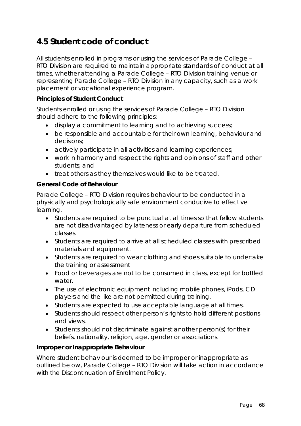## **4.5 Student code of conduct**

All students enrolled in programs or using the services of Parade College – RTO Division are required to maintain appropriate standards of conduct at all times, whether attending a Parade College – RTO Division training venue or representing Parade College – RTO Division in any capacity, such as a work placement or vocational experience program.

#### **Principles of Student Conduct**

Students enrolled or using the services of Parade College – RTO Division should adhere to the following principles:

- display a commitment to learning and to achieving success;
- be responsible and accountable for their own learning, behaviour and decisions;
- actively participate in all activities and learning experiences;
- work in harmony and respect the rights and opinions of staff and other students; and
- treat others as they themselves would like to be treated.

### **General Code of Behaviour**

Parade College – RTO Division requires behaviour to be conducted in a physically and psychologically safe environment conducive to effective learning.

- Students are required to be punctual at all times so that fellow students are not disadvantaged by lateness or early departure from scheduled classes.
- Students are required to arrive at all scheduled classes with prescribed materials and equipment.
- Students are required to wear clothing and shoes suitable to undertake the training or assessment
- Food or beverages are not to be consumed in class, except for bottled water.
- The use of electronic equipment including mobile phones, iPods, CD players and the like are not permitted during training.
- Students are expected to use acceptable language at all times.
- Students should respect other person's rights to hold different positions and views.
- Students should not discriminate against another person(s) for their beliefs, nationality, religion, age, gender or associations.

#### **Improper or Inappropriate Behaviour**

Where student behaviour is deemed to be improper or inappropriate as outlined below, Parade College – RTO Division will take action in accordance with the Discontinuation of Enrolment Policy.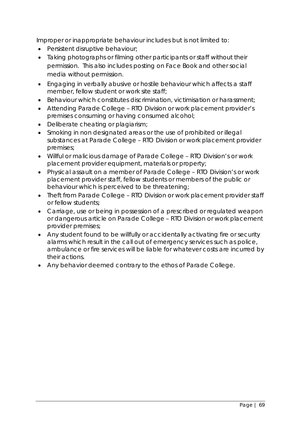Improper or inappropriate behaviour includes but is not limited to:

- Persistent disruptive behaviour;
- Taking photographs or filming other participants or staff without their permission. This also includes posting on Face Book and other social media without permission.
- Engaging in verbally abusive or hostile behaviour which affects a staff member, fellow student or work site staff;
- Behaviour which constitutes discrimination, victimisation or harassment;
- Attending Parade College RTO Division or work placement provider's premises consuming or having consumed alcohol;
- Deliberate cheating or plagiarism;
- Smoking in non designated areas or the use of prohibited or illegal substances at Parade College – RTO Division or work placement provider premises;
- Willful or malicious damage of Parade College RTO Division's or work placement provider equipment, materials or property;
- Physical assault on a member of Parade College RTO Division's or work placement provider staff, fellow students or members of the public or behaviour which is perceived to be threatening;
- Theft from Parade College RTO Division or work placement provider staff or fellow students;
- Carriage, use or being in possession of a prescribed or regulated weapon or dangerous article on Parade College – RTO Division or work placement provider premises;
- Any student found to be willfully or accidentally activating fire or security alarms which result in the call out of emergency services such as police, ambulance or fire services will be liable for whatever costs are incurred by their actions.
- Any behavior deemed contrary to the ethos of Parade College.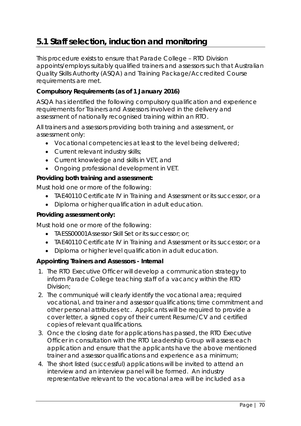## **5.1 Staff selection, induction and monitoring**

This procedure exists to ensure that Parade College – RTO Division appoints/employs suitably qualified trainers and assessors such that Australian Quality Skills Authority (ASQA) and Training Package/Accredited Course requirements are met.

## **Compulsory Requirements (as of 1 January 2016)**

ASQA has identified the following compulsory qualification and experience requirements for Trainers and Assessors involved in the delivery and assessment of nationally recognised training within an RTO.

All trainers and assessors providing both training and assessment, or assessment only:

- Vocational competencies at least to the level being delivered;
- Current relevant industry skills;
- Current knowledge and skills in VET, and
- Ongoing professional development in VET.

#### **Providing both training and assessment:**

Must hold one or more of the following:

- TAE40110 Certificate IV in Training and Assessment or its successor, or a
- Diploma or higher qualification in adult education.

#### **Providing assessment only:**

Must hold one or more of the following:

- TAESS00001Assessor Skill Set or its successor; or;
- TAE40110 Certificate IV in Training and Assessment or its successor; or a
- Diploma or higher level qualification in adult education.

## **Appointing Trainers and Assessors - Internal**

- 1. The RTO Executive Officer will develop a communication strategy to inform Parade College teaching staff of a vacancy within the RTO Division;
- 2. The communiqué will clearly identify the vocational area; required vocational, and trainer and assessor qualifications; time commitment and other personal attributes etc. Applicants will be required to provide a cover letter, a signed copy of their current Resume/CV and certified copies of relevant qualifications.
- 3. Once the closing date for applications has passed, the RTO Executive Officer in consultation with the RTO Leadership Group will assess each application and ensure that the applicants have the above mentioned trainer and assessor qualifications and experience as a minimum;
- 4. The short listed (successful) applications will be invited to attend an interview and an interview panel will be formed. An industry representative relevant to the vocational area will be included as a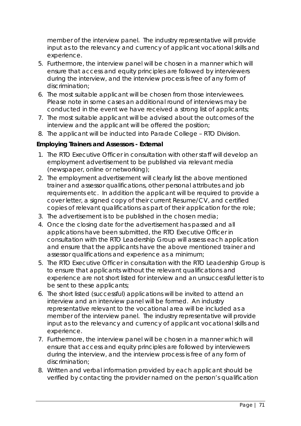member of the interview panel. The industry representative will provide input as to the relevancy and currency of applicant vocational skills and experience.

- 5. Furthermore, the interview panel will be chosen in a manner which will ensure that access and equity principles are followed by interviewers during the interview, and the interview process is free of any form of discrimination;
- 6. The most suitable applicant will be chosen from those interviewees. Please note in some cases an additional round of interviews may be conducted in the event we have received a strong list of applicants;
- 7. The most suitable applicant will be advised about the outcomes of the interview and the applicant will be offered the position;
- 8. The applicant will be inducted into Parade College RTO Division.

## **Employing Trainers and Assessors - External**

- 1. The RTO Executive Officer in consultation with other staff will develop an employment advertisement to be published via relevant media (newspaper, online or networking);
- 2. The employment advertisement will clearly list the above mentioned trainer and assessor qualifications, other personal attributes and job requirements etc. In addition the applicant will be required to provide a cover letter, a signed copy of their current Resume/CV, and certified copies of relevant qualifications as part of their application for the role;
- 3. The advertisement is to be published in the chosen media;
- 4. Once the closing date for the advertisement has passed and all applications have been submitted, the RTO Executive Officer in consultation with the RTO Leadership Group will assess each application and ensure that the applicants have the above mentioned trainer and assessor qualifications and experience as a minimum;
- 5. The RTO Executive Officer in consultation with the RTO Leadership Group is to ensure that applicants without the relevant qualifications and experience are not short listed for interview and an unsuccessful letter is to be sent to these applicants;
- 6. The short listed (successful) applications will be invited to attend an interview and an interview panel will be formed. An industry representative relevant to the vocational area will be included as a member of the interview panel. The industry representative will provide input as to the relevancy and currency of applicant vocational skills and experience.
- 7. Furthermore, the interview panel will be chosen in a manner which will ensure that access and equity principles are followed by interviewers during the interview, and the interview process is free of any form of discrimination;
- 8. Written and verbal information provided by each applicant should be verified by contacting the provider named on the person's qualification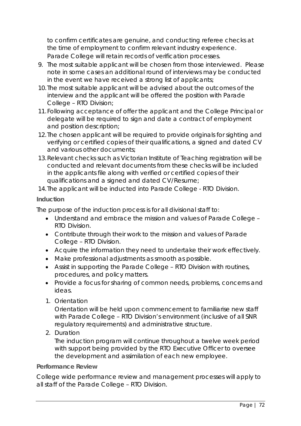to confirm certificates are genuine, and conducting referee checks at the time of employment to confirm relevant industry experience. Parade College will retain records of verification processes.

- 9. The most suitable applicant will be chosen from those interviewed. Please note in some cases an additional round of interviews may be conducted in the event we have received a strong list of applicants;
- 10. The most suitable applicant will be advised about the outcomes of the interview and the applicant will be offered the position with Parade College – RTO Division;
- 11.Following acceptance of offer the applicant and the College Principal or delegate will be required to sign and date a contract of employment and position description;
- 12. The chosen applicant will be required to provide originals for sighting and verifying or certified copies of their qualifications, a signed and dated CV and various other documents;
- 13.Relevant checks such as Victorian Institute of Teaching registration will be conducted and relevant documents from these checks will be included in the applicants file along with verified or certified copies of their qualifications and a signed and dated CV/Resume;

14. The applicant will be inducted into Parade College - RTO Division.

## **Induction**

The purpose of the induction process is for all divisional staff to:

- Understand and embrace the mission and values of Parade College RTO Division.
- Contribute through their work to the mission and values of Parade College – RTO Division.
- Acquire the information they need to undertake their work effectively.
- Make professional adjustments as smooth as possible.
- Assist in supporting the Parade College RTO Division with routines, procedures, and policy matters.
- Provide a focus for sharing of common needs, problems, concerns and ideas.
- 1. Orientation

Orientation will be held upon commencement to familiarise new staff with Parade College – RTO Division's environment (inclusive of all SNR regulatory requirements) and administrative structure.

2. Duration

The induction program will continue throughout a twelve week period with support being provided by the RTO Executive Officer to oversee the development and assimilation of each new employee.

## **Performance Review**

College wide performance review and management processes will apply to all staff of the Parade College – RTO Division.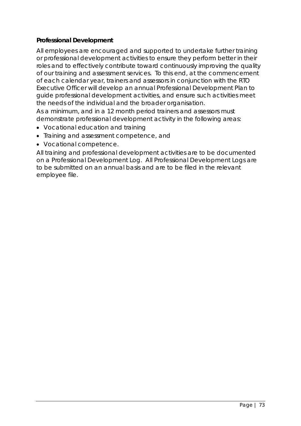# **Professional Development**

All employees are encouraged and supported to undertake further training or professional development activities to ensure they perform better in their roles and to effectively contribute toward continuously improving the quality of our training and assessment services. To this end, at the commencement of each calendar year, trainers and assessors in conjunction with the RTO Executive Officer will develop an annual Professional Development Plan to guide professional development activities, and ensure such activities meet the needs of the individual and the broader organisation.

As a minimum, and in a 12 month period trainers and assessors must demonstrate professional development activity in the following areas:

- Vocational education and training
- Training and assessment competence, and
- Vocational competence.

All training and professional development activities are to be documented on a Professional Development Log. All Professional Development Logs are to be submitted on an annual basis and are to be filed in the relevant employee file.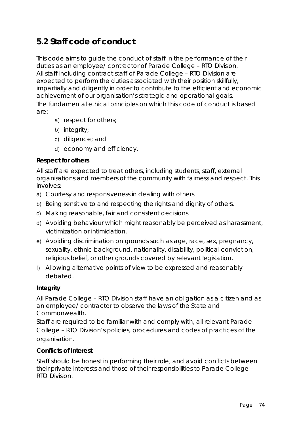# **5.2 Staff code of conduct**

This code aims to guide the conduct of staff in the performance of their duties as an employee/ contractor of Parade College – RTO Division. All staff including contract staff of Parade College – RTO Division are expected to perform the duties associated with their position skillfully, impartially and diligently in order to contribute to the efficient and economic achievement of our organisation's strategic and operational goals. The fundamental ethical principles on which this code of conduct is based are:

- a) respect for others;
- b) integrity;
- c) diligence; and
- d) economy and efficiency.

# **Respect for others**

All staff are expected to treat others, including students, staff, external organisations and members of the community with fairness and respect. This involves:

- a) Courtesy and responsiveness in dealing with others.
- b) Being sensitive to and respecting the rights and dignity of others.
- c) Making reasonable, fair and consistent decisions.
- d) Avoiding behaviour which might reasonably be perceived as harassment, victimization or intimidation.
- e) Avoiding discrimination on grounds such as age, race, sex, pregnancy, sexuality, ethnic background, nationality, disability, political conviction, religious belief, or other grounds covered by relevant legislation.
- f) Allowing alternative points of view to be expressed and reasonably debated.

# **Integrity**

All Parade College – RTO Division staff have an obligation as a citizen and as an employee/ contractor to observe the laws of the State and Commonwealth.

Staff are required to be familiar with and comply with, all relevant Parade College – RTO Division's policies, procedures and codes of practices of the organisation.

# **Conflicts of Interest**

Staff should be honest in performing their role, and avoid conflicts between their private interests and those of their responsibilities to Parade College – RTO Division.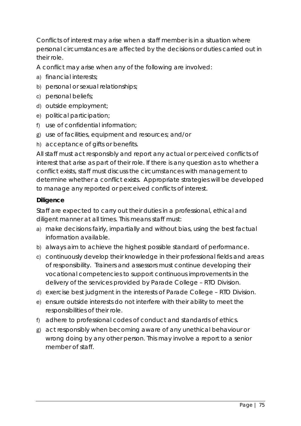Conflicts of interest may arise when a staff member is in a situation where personal circumstances are affected by the decisions or duties carried out in their role.

A conflict may arise when any of the following are involved:

- a) financial interests;
- b) personal or sexual relationships;
- c) personal beliefs;
- d) outside employment;
- e) political participation;
- f) use of confidential information;
- g) use of facilities, equipment and resources; and/or
- h) acceptance of gifts or benefits.

All staff must act responsibly and report any actual or perceived conflicts of interest that arise as part of their role. If there is any question as to whether a conflict exists, staff must discuss the circumstances with management to determine whether a conflict exists. Appropriate strategies will be developed to manage any reported or perceived conflicts of interest.

# **Diligence**

Staff are expected to carry out their duties in a professional, ethical and diligent manner at all times. This means staff must:

- a) make decisions fairly, impartially and without bias, using the best factual information available.
- b) always aim to achieve the highest possible standard of performance.
- c) continuously develop their knowledge in their professional fields and areas of responsibility. Trainers and assessors must continue developing their vocational competencies to support continuous improvements in the delivery of the services provided by Parade College – RTO Division.
- d) exercise best judgment in the interests of Parade College RTO Division.
- e) ensure outside interests do not interfere with their ability to meet the responsibilities of their role.
- f) adhere to professional codes of conduct and standards of ethics.
- g) act responsibly when becoming aware of any unethical behaviour or wrong doing by any other person. This may involve a report to a senior member of staff.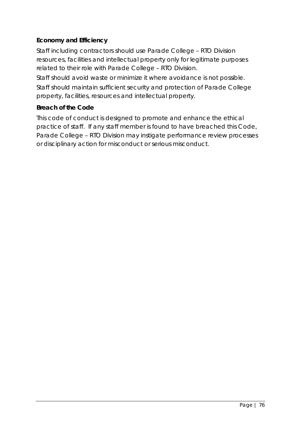# **Economy and Efficiency**

Staff including contractors should use Parade College – RTO Division resources, facilities and intellectual property only for legitimate purposes related to their role with Parade College – RTO Division.

Staff should avoid waste or minimize it where avoidance is not possible. Staff should maintain sufficient security and protection of Parade College property, facilities, resources and intellectual property.

# **Breach of the Code**

This code of conduct is designed to promote and enhance the ethical practice of staff. If any staff member is found to have breached this Code, Parade College – RTO Division may instigate performance review processes or disciplinary action for misconduct or serious misconduct.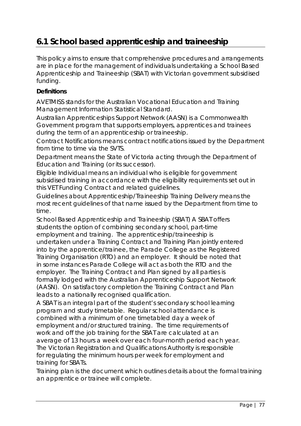# **6.1 School based apprenticeship and traineeship**

This policy aims to ensure that comprehensive procedures and arrangements are in place for the management of individuals undertaking a School Based Apprenticeship and Traineeship (SBAT) with Victorian government subsidised funding.

# **Definitions**

*AVETMISS* stands for the Australian Vocational Education and Training Management Information Statistical Standard.

*Australian Apprenticeships Support Network (AASN)* is a Commonwealth Government program that supports employers, apprentices and trainees during the term of an apprenticeship or traineeship.

*Contract Notifications* means contract notifications issued by the Department from time to time via the SVTS.

*Department* means the State of Victoria acting through the Department of Education and Training (or its successor).

*Eligible Individual* means an individual who is eligible for government subsidised training in accordance with the eligibility requirements set out in this VET Funding Contract and related guidelines.

*Guidelines about Apprenticeship/Traineeship Training Delivery* means the most recent guidelines of that name issued by the Department from time to time.

*School Based Apprenticeship and Traineeship (SBAT)* A SBAT offers students the option of combining secondary school, part-time employment and training. The apprenticeship/traineeship is undertaken under a Training Contract and Training Plan jointly entered into by the apprentice/trainee, the Parade College as the Registered Training Organisation (RTO) and an employer. It should be noted that in some instances Parade College will act as both the RTO and the employer. The Training Contract and Plan signed by all parties is formally lodged with the Australian Apprenticeship Support Network (AASN). On satisfactory completion the Training Contract and Plan leads to a nationally recognised qualification.

A SBAT is an integral part of the student's secondary school learning program and study timetable. Regular school attendance is combined with a minimum of one timetabled day a week of employment and/or structured training. The time requirements of work and off the job training for the SBAT are calculated at an average of 13 hours a week over each four-month period each year. The Victorian Registration and Qualifications Authority is responsible for regulating the minimum hours per week for employment and training for SBATs.

*Training plan* is the document which outlines details about the formal training an apprentice or trainee will complete*.*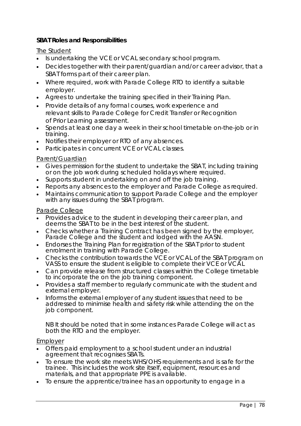# **SBAT Roles and Responsibilities**

#### The Student

- Is undertaking the VCE or VCAL secondary school program.
- Decides together with their parent/guardian and/or career advisor, that a SBAT forms part of their career plan.
- Where required, work with Parade College RTO to identify a suitable employer.
- Agrees to undertake the training specified in their Training Plan.
- Provide details of any formal courses, work experience and relevant skills to Parade College for Credit Transfer or Recognition of Prior Learning assessment.
- Spends at least one day a week in their school timetable on-the-job or in training.
- Notifies their employer or RTO of any absences.
- Participates in concurrent VCE or VCAL classes.

#### Parent/Guardian

- Gives permission for the student to undertake the SBAT, including training or on the job work during scheduled holidays where required.
- Supports student in undertaking on and off the job training.
- Reports any absences to the employer and Parade College as required.
- Maintains communication to support Parade College and the employer with any issues during the SBAT program.

#### Parade College

- Provides advice to the student in developing their career plan, and deems the SBAT to be in the best interest of the student.
- Checks whether a Training Contract has been signed by the employer, Parade College and the student and lodged with the AASN.
- Endorses the Training Plan for registration of the SBAT prior to student enrolment in training with Parade College.
- Checks the contribution towards the VCE or VCAL of the SBAT program on VASS to ensure the student is eligible to complete their VCE or VCAL
- Can provide release from structured classes within the College timetable to incorporate the on the job training component.
- Provides a staff member to regularly communicate with the student and external employer.
- Informs the external employer of any student issues that need to be addressed to minimise health and safety risk while attending the on the job component.

NB It should be noted that in some instances Parade College will act as both the RTO and the employer.

#### Employer

- Offers paid employment to a school student under an industrial agreement that recognises SBATs.
- To ensure the work site meets WHS/OHS requirements and is safe for the trainee. This includes the work site itself, equipment, resources and materials, and that appropriate PPE is available.
- To ensure the apprentice/trainee has an opportunity to engage in a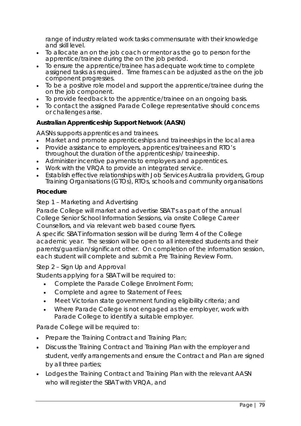range of industry related work tasks commensurate with their knowledge and skill level.

- To allocate an on the job coach or mentor as the go to person for the apprentice/trainee during the on the job period.
- To ensure the apprentice/trainee has adequate work time to complete assigned tasks as required. Time frames can be adjusted as the on the job component progresses.
- To be a positive role model and support the apprentice/trainee during the on the job component.
- To provide feedback to the apprentice/trainee on an ongoing basis.
- To contact the assigned Parade College representative should concerns or challenges arise.

# **Australian Apprenticeship Support Network (AASN)**

AASNs supports apprentices and trainees.

- Market and promote apprenticeships and traineeships in the local area
- Provide assistance to employers, apprentices/trainees and RTO's throughout the duration of the apprenticeship/ traineeship.
- Administer incentive payments to employers and apprentices.
- Work with the VRQA to provide an integrated service.
- Establish effective relationships with Job Services Australia providers, Group Training Organisations (GTOs), RTOs, schools and community organisations

#### **Procedure**

#### *Step 1 – Marketing and Advertising*

Parade College will market and advertise SBAT's as part of the annual College Senior School Information Sessions, via onsite College Career Counsellors, and via relevant web based course flyers.

A specific SBAT information session will be during Term 4 of the College academic year. The session will be open to all interested students and their parents/guardian/significant other. On completion of the information session, each student will complete and submit a Pre Training Review Form.

# *Step 2 – Sign Up and Approval*

Students applying for a SBAT will be required to:

- Complete the Parade College Enrolment Form;
- Complete and agree to Statement of Fees;
- Meet Victorian state government funding eligibility criteria; and
- Where Parade College is not engaged as the employer, work with Parade College to identify a suitable employer.

Parade College will be required to:

- Prepare the Training Contract and Training Plan;
- Discuss the Training Contract and Training Plan with the employer and student, verify arrangements and ensure the Contract and Plan are signed by all three parties;
- Lodges the Training Contract and Training Plan with the relevant AASN who will register the SBAT with VRQA, and